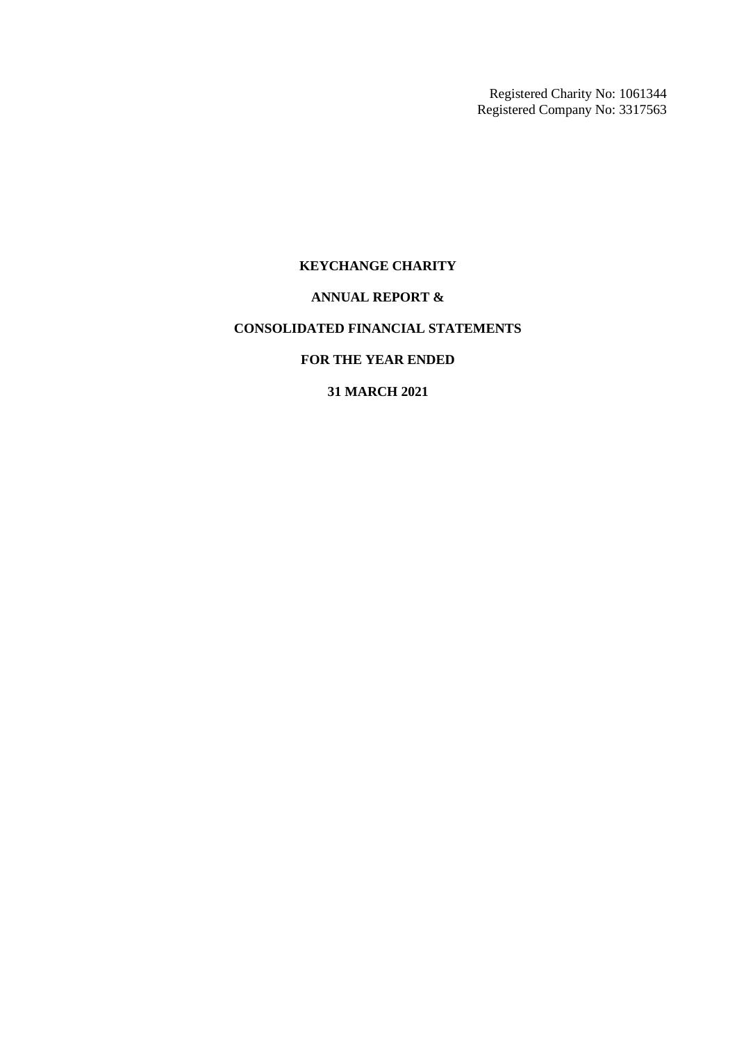Registered Charity No: 1061344 Registered Company No: 3317563

# **KEYCHANGE CHARITY**

## **ANNUAL REPORT &**

# **CONSOLIDATED FINANCIAL STATEMENTS**

# **FOR THE YEAR ENDED**

# **31 MARCH 2021**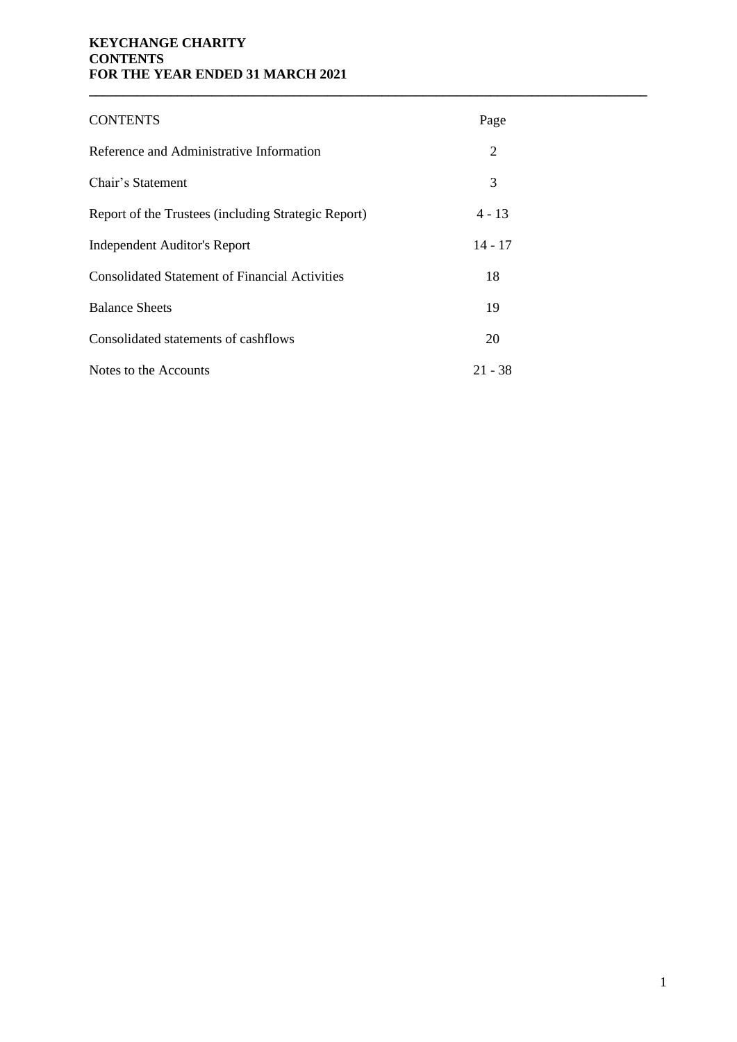# **KEYCHANGE CHARITY CONTENTS FOR THE YEAR ENDED 31 MARCH 2021**

| <b>CONTENTS</b>                                       | Page      |
|-------------------------------------------------------|-----------|
| Reference and Administrative Information              | 2         |
| Chair's Statement                                     | 3         |
| Report of the Trustees (including Strategic Report)   | 4 - 13    |
| <b>Independent Auditor's Report</b>                   | $14 - 17$ |
| <b>Consolidated Statement of Financial Activities</b> | 18        |
| <b>Balance Sheets</b>                                 | 19        |
| Consolidated statements of cashflows                  | 20        |
| Notes to the Accounts                                 | $21 - 38$ |

**\_\_\_\_\_\_\_\_\_\_\_\_\_\_\_\_\_\_\_\_\_\_\_\_\_\_\_\_\_\_\_\_\_\_\_\_\_\_\_\_\_\_\_\_\_\_\_\_\_\_\_\_\_\_\_\_\_\_\_\_\_\_\_\_\_\_\_\_\_\_\_\_\_\_\_\_\_\_\_\_\_\_**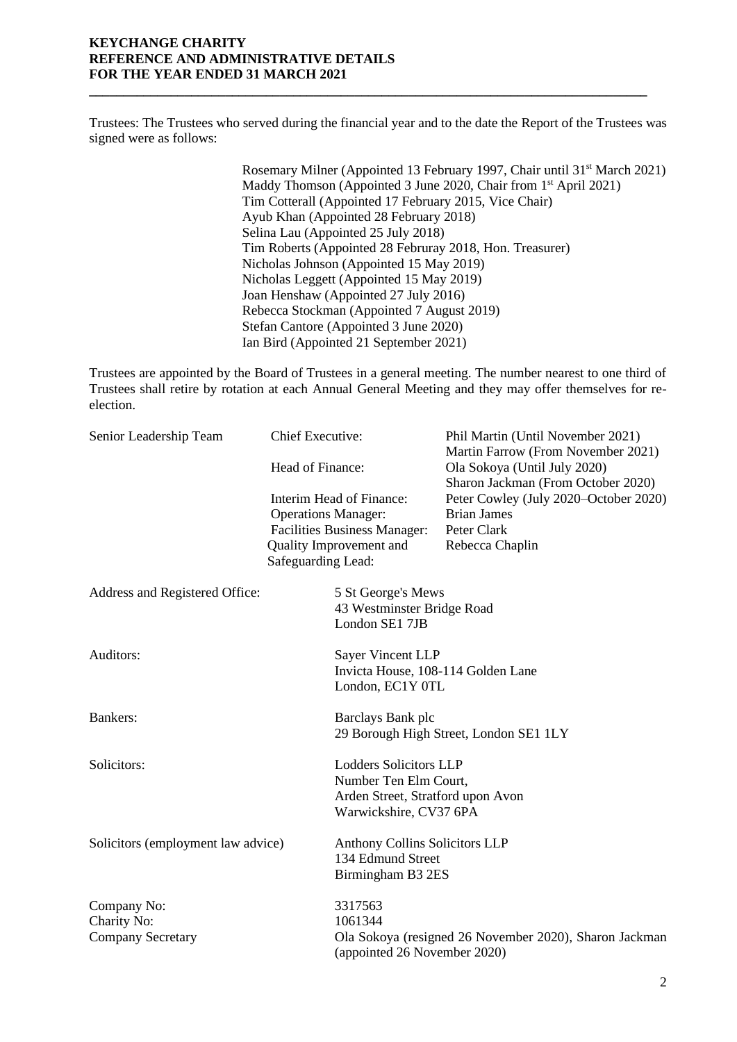## **KEYCHANGE CHARITY REFERENCE AND ADMINISTRATIVE DETAILS FOR THE YEAR ENDED 31 MARCH 2021**

Trustees: The Trustees who served during the financial year and to the date the Report of the Trustees was signed were as follows:

**\_\_\_\_\_\_\_\_\_\_\_\_\_\_\_\_\_\_\_\_\_\_\_\_\_\_\_\_\_\_\_\_\_\_\_\_\_\_\_\_\_\_\_\_\_\_\_\_\_\_\_\_\_\_\_\_\_\_\_\_\_\_\_\_\_\_\_\_\_\_\_\_\_\_\_\_\_\_\_\_\_\_**

 Rosemary Milner (Appointed 13 February 1997, Chair until 31st March 2021) Maddy Thomson (Appointed 3 June 2020, Chair from 1<sup>st</sup> April 2021) Tim Cotterall (Appointed 17 February 2015, Vice Chair) Ayub Khan (Appointed 28 February 2018) Selina Lau (Appointed 25 July 2018) Tim Roberts (Appointed 28 Februray 2018, Hon. Treasurer) Nicholas Johnson (Appointed 15 May 2019) Nicholas Leggett (Appointed 15 May 2019) Joan Henshaw (Appointed 27 July 2016) Rebecca Stockman (Appointed 7 August 2019) Stefan Cantore (Appointed 3 June 2020) Ian Bird (Appointed 21 September 2021)

Trustees are appointed by the Board of Trustees in a general meeting. The number nearest to one third of Trustees shall retire by rotation at each Annual General Meeting and they may offer themselves for reelection.

| Senior Leadership Team             | Chief Executive:                                                                                                                               |                                                                                                                       | Phil Martin (Until November 2021)<br>Martin Farrow (From November 2021)                       |  |
|------------------------------------|------------------------------------------------------------------------------------------------------------------------------------------------|-----------------------------------------------------------------------------------------------------------------------|-----------------------------------------------------------------------------------------------|--|
|                                    | Head of Finance:                                                                                                                               |                                                                                                                       | Ola Sokoya (Until July 2020)<br>Sharon Jackman (From October 2020)                            |  |
|                                    | Interim Head of Finance:<br><b>Operations Manager:</b><br><b>Facilities Business Manager:</b><br>Quality Improvement and<br>Safeguarding Lead: |                                                                                                                       | Peter Cowley (July 2020–October 2020)<br><b>Brian James</b><br>Peter Clark<br>Rebecca Chaplin |  |
| Address and Registered Office:     |                                                                                                                                                | 5 St George's Mews<br>43 Westminster Bridge Road<br>London SE1 7JB                                                    |                                                                                               |  |
| Auditors:                          |                                                                                                                                                | Sayer Vincent LLP<br>Invicta House, 108-114 Golden Lane<br>London, EC1Y 0TL                                           |                                                                                               |  |
| Bankers:                           |                                                                                                                                                | Barclays Bank plc                                                                                                     | 29 Borough High Street, London SE1 1LY                                                        |  |
| Solicitors:                        |                                                                                                                                                | <b>Lodders Solicitors LLP</b><br>Number Ten Elm Court,<br>Arden Street, Stratford upon Avon<br>Warwickshire, CV37 6PA |                                                                                               |  |
| Solicitors (employment law advice) |                                                                                                                                                | <b>Anthony Collins Solicitors LLP</b><br>134 Edmund Street<br>Birmingham B3 2ES                                       |                                                                                               |  |
| Company No:                        |                                                                                                                                                | 3317563                                                                                                               |                                                                                               |  |
| Charity No:                        |                                                                                                                                                | 1061344                                                                                                               |                                                                                               |  |
| <b>Company Secretary</b>           |                                                                                                                                                | (appointed 26 November 2020)                                                                                          | Ola Sokoya (resigned 26 November 2020), Sharon Jackman                                        |  |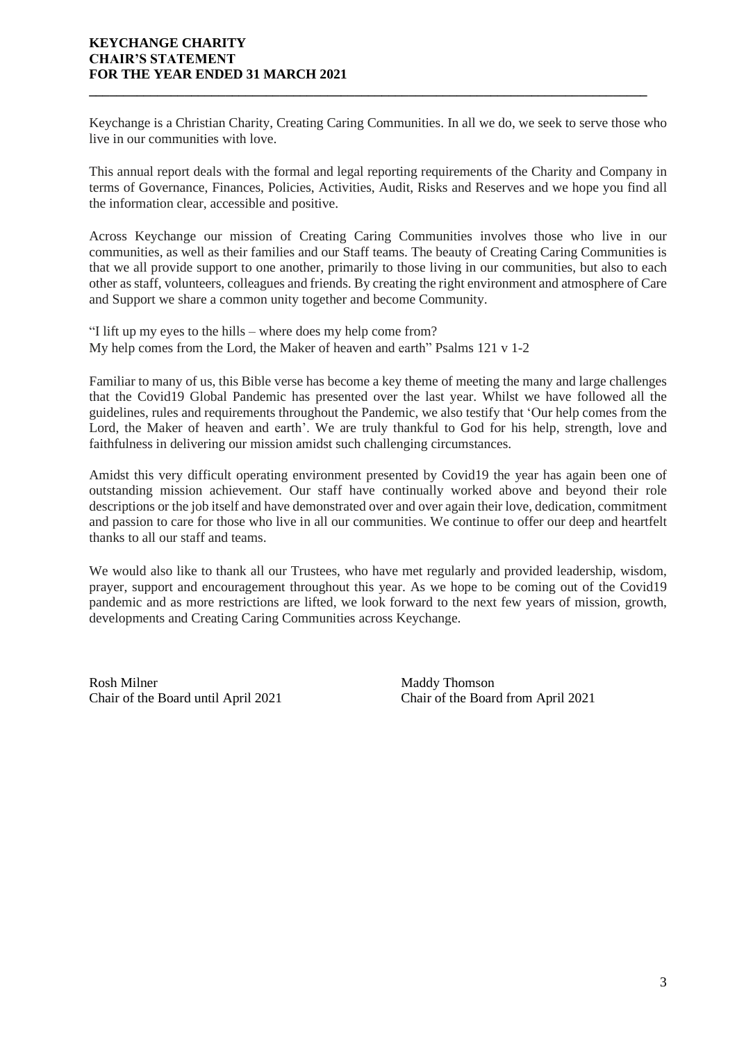## **KEYCHANGE CHARITY CHAIR'S STATEMENT FOR THE YEAR ENDED 31 MARCH 2021**

Keychange is a Christian Charity, Creating Caring Communities. In all we do, we seek to serve those who live in our communities with love.

**\_\_\_\_\_\_\_\_\_\_\_\_\_\_\_\_\_\_\_\_\_\_\_\_\_\_\_\_\_\_\_\_\_\_\_\_\_\_\_\_\_\_\_\_\_\_\_\_\_\_\_\_\_\_\_\_\_\_\_\_\_\_\_\_\_\_\_\_\_\_\_\_\_\_\_\_\_\_\_\_\_\_**

This annual report deals with the formal and legal reporting requirements of the Charity and Company in terms of Governance, Finances, Policies, Activities, Audit, Risks and Reserves and we hope you find all the information clear, accessible and positive.

Across Keychange our mission of Creating Caring Communities involves those who live in our communities, as well as their families and our Staff teams. The beauty of Creating Caring Communities is that we all provide support to one another, primarily to those living in our communities, but also to each other as staff, volunteers, colleagues and friends. By creating the right environment and atmosphere of Care and Support we share a common unity together and become Community.

"I lift up my eyes to the hills – where does my help come from? My help comes from the Lord, the Maker of heaven and earth" Psalms 121 v 1-2

Familiar to many of us, this Bible verse has become a key theme of meeting the many and large challenges that the Covid19 Global Pandemic has presented over the last year. Whilst we have followed all the guidelines, rules and requirements throughout the Pandemic, we also testify that 'Our help comes from the Lord, the Maker of heaven and earth'. We are truly thankful to God for his help, strength, love and faithfulness in delivering our mission amidst such challenging circumstances.

Amidst this very difficult operating environment presented by Covid19 the year has again been one of outstanding mission achievement. Our staff have continually worked above and beyond their role descriptions or the job itself and have demonstrated over and over again their love, dedication, commitment and passion to care for those who live in all our communities. We continue to offer our deep and heartfelt thanks to all our staff and teams.

We would also like to thank all our Trustees, who have met regularly and provided leadership, wisdom, prayer, support and encouragement throughout this year. As we hope to be coming out of the Covid19 pandemic and as more restrictions are lifted, we look forward to the next few years of mission, growth, developments and Creating Caring Communities across Keychange.

Rosh Milner Maddy Thomson Chair of the Board until April 2021 Chair of the Board from April 2021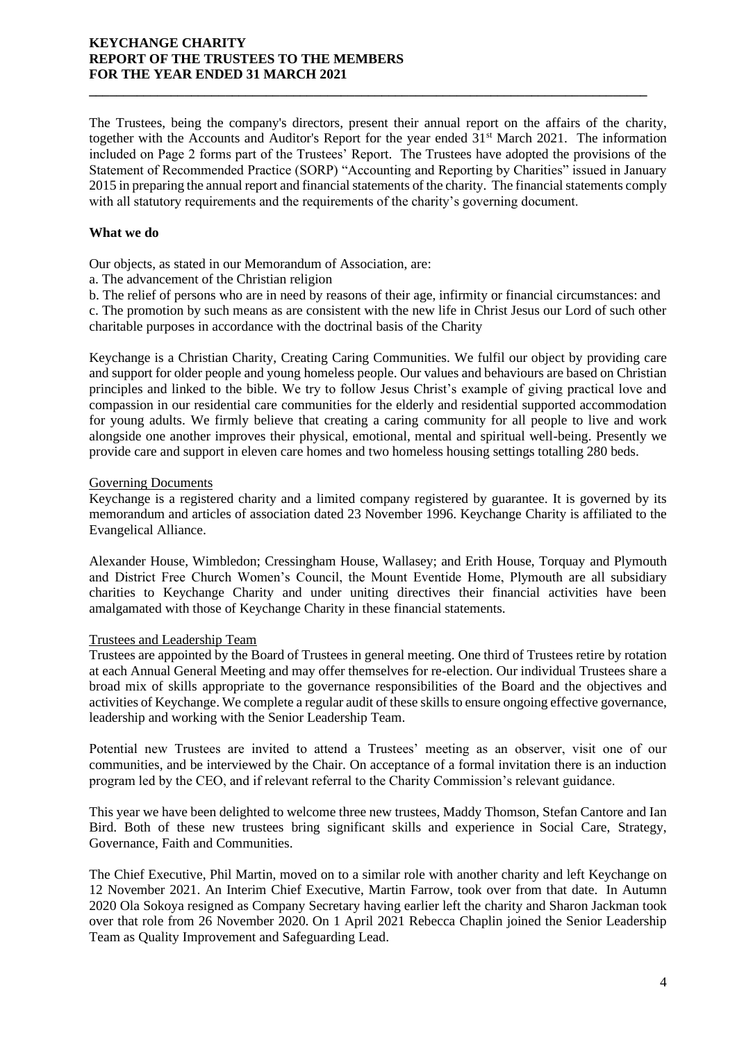The Trustees, being the company's directors, present their annual report on the affairs of the charity, together with the Accounts and Auditor's Report for the year ended  $31<sup>st</sup>$  March 2021. The information included on Page 2 forms part of the Trustees' Report. The Trustees have adopted the provisions of the Statement of Recommended Practice (SORP) "Accounting and Reporting by Charities" issued in January 2015 in preparing the annual report and financial statements of the charity. The financial statements comply with all statutory requirements and the requirements of the charity's governing document.

**\_\_\_\_\_\_\_\_\_\_\_\_\_\_\_\_\_\_\_\_\_\_\_\_\_\_\_\_\_\_\_\_\_\_\_\_\_\_\_\_\_\_\_\_\_\_\_\_\_\_\_\_\_\_\_\_\_\_\_\_\_\_\_\_\_\_\_\_\_\_\_\_\_\_\_\_\_\_\_\_\_\_**

## **What we do**

Our objects, as stated in our Memorandum of Association, are:

a. The advancement of the Christian religion

b. The relief of persons who are in need by reasons of their age, infirmity or financial circumstances: and c. The promotion by such means as are consistent with the new life in Christ Jesus our Lord of such other charitable purposes in accordance with the doctrinal basis of the Charity

Keychange is a Christian Charity, Creating Caring Communities. We fulfil our object by providing care and support for older people and young homeless people. Our values and behaviours are based on Christian principles and linked to the bible. We try to follow Jesus Christ's example of giving practical love and compassion in our residential care communities for the elderly and residential supported accommodation for young adults. We firmly believe that creating a caring community for all people to live and work alongside one another improves their physical, emotional, mental and spiritual well-being. Presently we provide care and support in eleven care homes and two homeless housing settings totalling 280 beds.

## Governing Documents

Keychange is a registered charity and a limited company registered by guarantee. It is governed by its memorandum and articles of association dated 23 November 1996. Keychange Charity is affiliated to the Evangelical Alliance.

Alexander House, Wimbledon; Cressingham House, Wallasey; and Erith House, Torquay and Plymouth and District Free Church Women's Council, the Mount Eventide Home, Plymouth are all subsidiary charities to Keychange Charity and under uniting directives their financial activities have been amalgamated with those of Keychange Charity in these financial statements.

# Trustees and Leadership Team

Trustees are appointed by the Board of Trustees in general meeting. One third of Trustees retire by rotation at each Annual General Meeting and may offer themselves for re-election. Our individual Trustees share a broad mix of skills appropriate to the governance responsibilities of the Board and the objectives and activities of Keychange. We complete a regular audit of these skills to ensure ongoing effective governance, leadership and working with the Senior Leadership Team.

Potential new Trustees are invited to attend a Trustees' meeting as an observer, visit one of our communities, and be interviewed by the Chair. On acceptance of a formal invitation there is an induction program led by the CEO, and if relevant referral to the Charity Commission's relevant guidance.

This year we have been delighted to welcome three new trustees, Maddy Thomson, Stefan Cantore and Ian Bird. Both of these new trustees bring significant skills and experience in Social Care, Strategy, Governance, Faith and Communities.

The Chief Executive, Phil Martin, moved on to a similar role with another charity and left Keychange on 12 November 2021. An Interim Chief Executive, Martin Farrow, took over from that date. In Autumn 2020 Ola Sokoya resigned as Company Secretary having earlier left the charity and Sharon Jackman took over that role from 26 November 2020. On 1 April 2021 Rebecca Chaplin joined the Senior Leadership Team as Quality Improvement and Safeguarding Lead.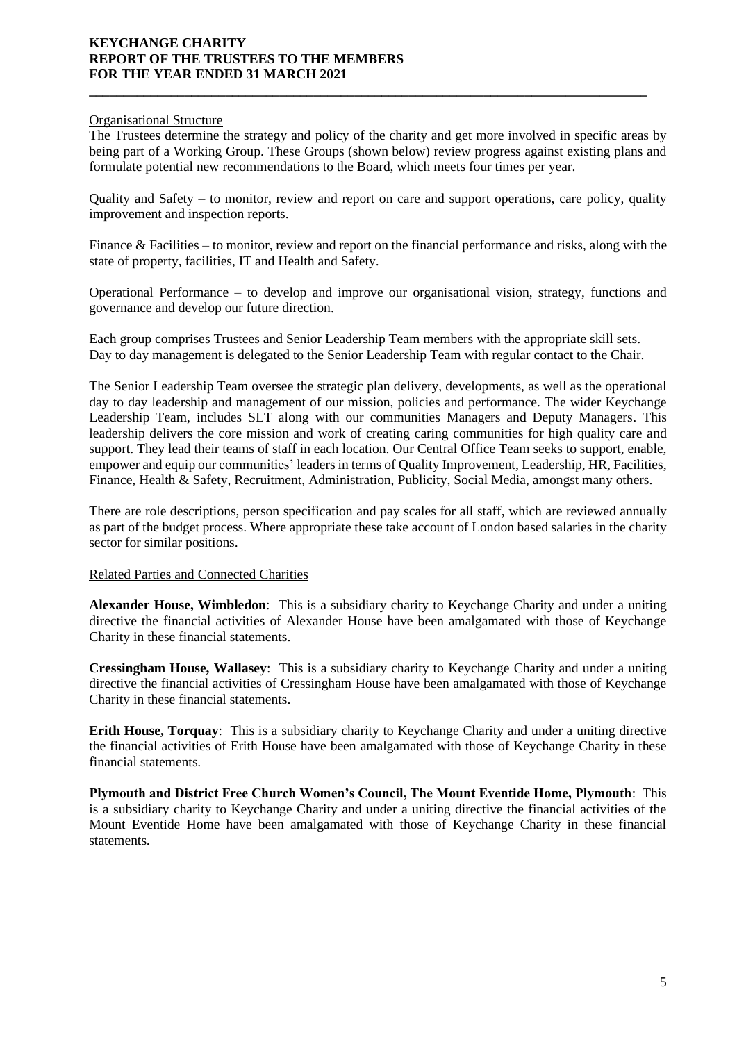## Organisational Structure

The Trustees determine the strategy and policy of the charity and get more involved in specific areas by being part of a Working Group. These Groups (shown below) review progress against existing plans and formulate potential new recommendations to the Board, which meets four times per year.

**\_\_\_\_\_\_\_\_\_\_\_\_\_\_\_\_\_\_\_\_\_\_\_\_\_\_\_\_\_\_\_\_\_\_\_\_\_\_\_\_\_\_\_\_\_\_\_\_\_\_\_\_\_\_\_\_\_\_\_\_\_\_\_\_\_\_\_\_\_\_\_\_\_\_\_\_\_\_\_\_\_\_**

Quality and Safety – to monitor, review and report on care and support operations, care policy, quality improvement and inspection reports.

Finance & Facilities – to monitor, review and report on the financial performance and risks, along with the state of property, facilities, IT and Health and Safety.

Operational Performance – to develop and improve our organisational vision, strategy, functions and governance and develop our future direction.

Each group comprises Trustees and Senior Leadership Team members with the appropriate skill sets. Day to day management is delegated to the Senior Leadership Team with regular contact to the Chair.

The Senior Leadership Team oversee the strategic plan delivery, developments, as well as the operational day to day leadership and management of our mission, policies and performance. The wider Keychange Leadership Team, includes SLT along with our communities Managers and Deputy Managers. This leadership delivers the core mission and work of creating caring communities for high quality care and support. They lead their teams of staff in each location. Our Central Office Team seeks to support, enable, empower and equip our communities' leaders in terms of Quality Improvement, Leadership, HR, Facilities, Finance, Health & Safety, Recruitment, Administration, Publicity, Social Media, amongst many others.

There are role descriptions, person specification and pay scales for all staff, which are reviewed annually as part of the budget process. Where appropriate these take account of London based salaries in the charity sector for similar positions.

## Related Parties and Connected Charities

**Alexander House, Wimbledon**: This is a subsidiary charity to Keychange Charity and under a uniting directive the financial activities of Alexander House have been amalgamated with those of Keychange Charity in these financial statements.

**Cressingham House, Wallasey**: This is a subsidiary charity to Keychange Charity and under a uniting directive the financial activities of Cressingham House have been amalgamated with those of Keychange Charity in these financial statements.

**Erith House, Torquay**: This is a subsidiary charity to Keychange Charity and under a uniting directive the financial activities of Erith House have been amalgamated with those of Keychange Charity in these financial statements.

**Plymouth and District Free Church Women's Council, The Mount Eventide Home, Plymouth**: This is a subsidiary charity to Keychange Charity and under a uniting directive the financial activities of the Mount Eventide Home have been amalgamated with those of Keychange Charity in these financial statements*.*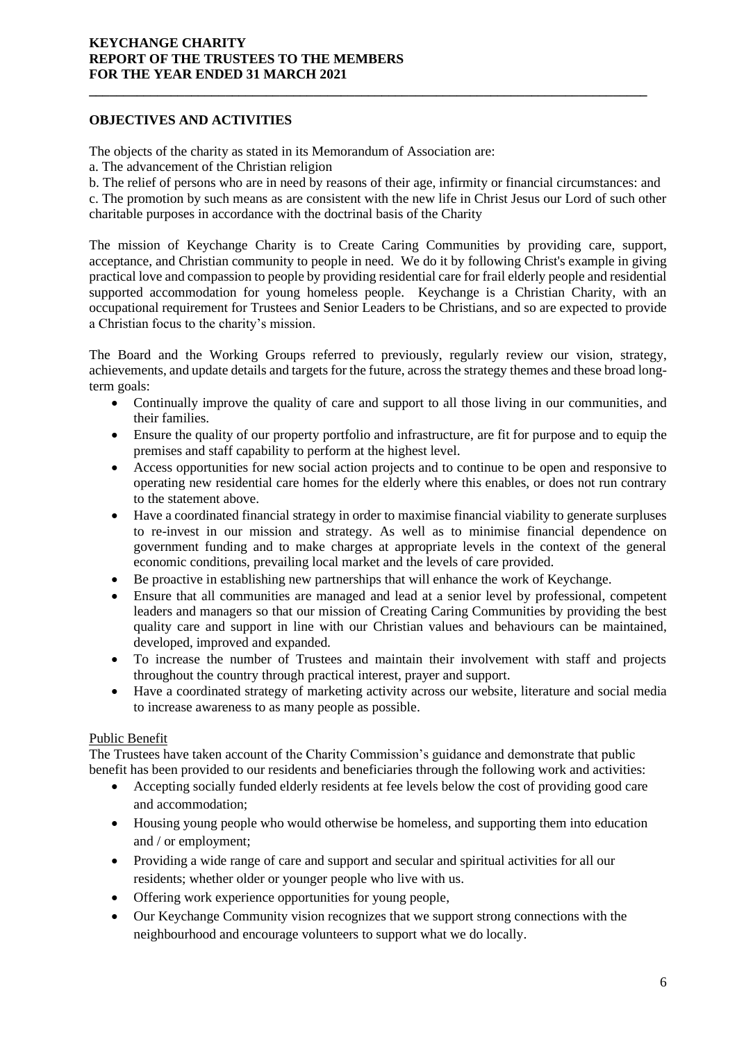# **OBJECTIVES AND ACTIVITIES**

The objects of the charity as stated in its Memorandum of Association are:

a. The advancement of the Christian religion

b. The relief of persons who are in need by reasons of their age, infirmity or financial circumstances: and

**\_\_\_\_\_\_\_\_\_\_\_\_\_\_\_\_\_\_\_\_\_\_\_\_\_\_\_\_\_\_\_\_\_\_\_\_\_\_\_\_\_\_\_\_\_\_\_\_\_\_\_\_\_\_\_\_\_\_\_\_\_\_\_\_\_\_\_\_\_\_\_\_\_\_\_\_\_\_\_\_\_\_**

c. The promotion by such means as are consistent with the new life in Christ Jesus our Lord of such other charitable purposes in accordance with the doctrinal basis of the Charity

The mission of Keychange Charity is to Create Caring Communities by providing care, support, acceptance, and Christian community to people in need. We do it by following Christ's example in giving practical love and compassion to people by providing residential care for frail elderly people and residential supported accommodation for young homeless people. Keychange is a Christian Charity, with an occupational requirement for Trustees and Senior Leaders to be Christians, and so are expected to provide a Christian focus to the charity's mission.

The Board and the Working Groups referred to previously, regularly review our vision, strategy, achievements, and update details and targets for the future, across the strategy themes and these broad longterm goals:

- Continually improve the quality of care and support to all those living in our communities, and their families.
- Ensure the quality of our property portfolio and infrastructure, are fit for purpose and to equip the premises and staff capability to perform at the highest level.
- Access opportunities for new social action projects and to continue to be open and responsive to operating new residential care homes for the elderly where this enables, or does not run contrary to the statement above.
- Have a coordinated financial strategy in order to maximise financial viability to generate surpluses to re-invest in our mission and strategy. As well as to minimise financial dependence on government funding and to make charges at appropriate levels in the context of the general economic conditions, prevailing local market and the levels of care provided.
- Be proactive in establishing new partnerships that will enhance the work of Keychange.
- Ensure that all communities are managed and lead at a senior level by professional, competent leaders and managers so that our mission of Creating Caring Communities by providing the best quality care and support in line with our Christian values and behaviours can be maintained, developed, improved and expanded.
- To increase the number of Trustees and maintain their involvement with staff and projects throughout the country through practical interest, prayer and support.
- Have a coordinated strategy of marketing activity across our website, literature and social media to increase awareness to as many people as possible.

# Public Benefit

The Trustees have taken account of the Charity Commission's guidance and demonstrate that public benefit has been provided to our residents and beneficiaries through the following work and activities:

- Accepting socially funded elderly residents at fee levels below the cost of providing good care and accommodation;
- Housing young people who would otherwise be homeless, and supporting them into education and / or employment;
- Providing a wide range of care and support and secular and spiritual activities for all our residents; whether older or younger people who live with us.
- Offering work experience opportunities for young people,
- Our Keychange Community vision recognizes that we support strong connections with the neighbourhood and encourage volunteers to support what we do locally.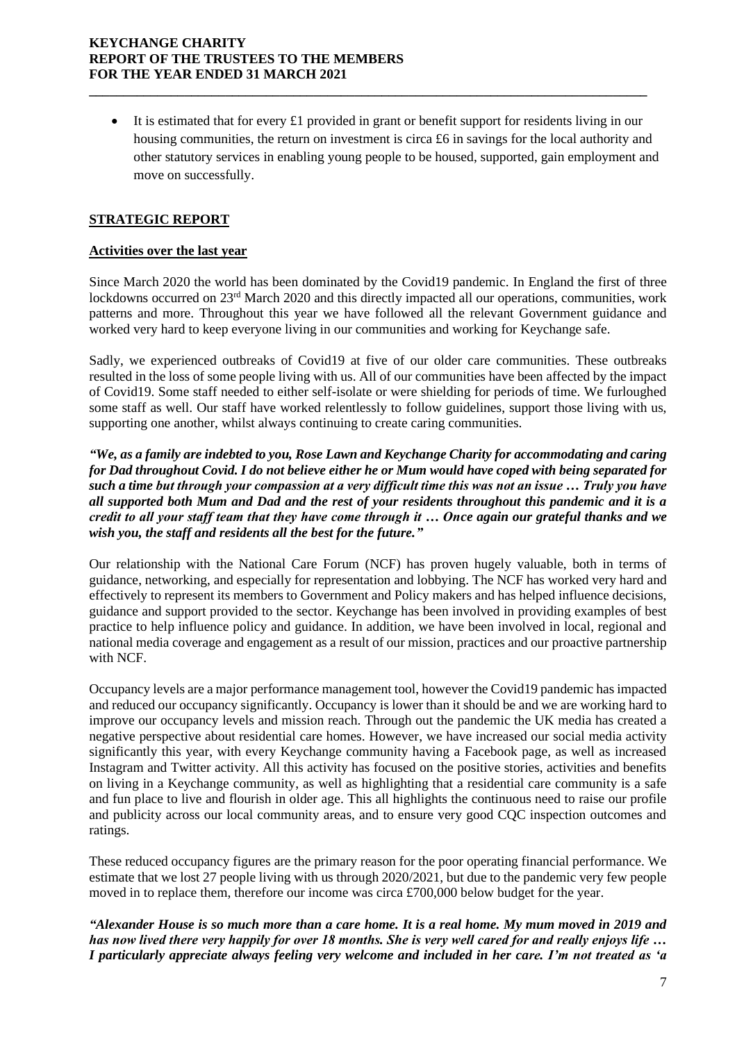• It is estimated that for every £1 provided in grant or benefit support for residents living in our housing communities, the return on investment is circa £6 in savings for the local authority and other statutory services in enabling young people to be housed, supported, gain employment and move on successfully.

**\_\_\_\_\_\_\_\_\_\_\_\_\_\_\_\_\_\_\_\_\_\_\_\_\_\_\_\_\_\_\_\_\_\_\_\_\_\_\_\_\_\_\_\_\_\_\_\_\_\_\_\_\_\_\_\_\_\_\_\_\_\_\_\_\_\_\_\_\_\_\_\_\_\_\_\_\_\_\_\_\_\_**

# **STRATEGIC REPORT**

## **Activities over the last year**

Since March 2020 the world has been dominated by the Covid19 pandemic. In England the first of three lockdowns occurred on 23<sup>rd</sup> March 2020 and this directly impacted all our operations, communities, work patterns and more. Throughout this year we have followed all the relevant Government guidance and worked very hard to keep everyone living in our communities and working for Keychange safe.

Sadly, we experienced outbreaks of Covid19 at five of our older care communities. These outbreaks resulted in the loss of some people living with us. All of our communities have been affected by the impact of Covid19. Some staff needed to either self-isolate or were shielding for periods of time. We furloughed some staff as well. Our staff have worked relentlessly to follow guidelines, support those living with us, supporting one another, whilst always continuing to create caring communities.

*"We, as a family are indebted to you, Rose Lawn and Keychange Charity for accommodating and caring for Dad throughout Covid. I do not believe either he or Mum would have coped with being separated for such a time but through your compassion at a very difficult time this was not an issue … Truly you have all supported both Mum and Dad and the rest of your residents throughout this pandemic and it is a credit to all your staff team that they have come through it … Once again our grateful thanks and we wish you, the staff and residents all the best for the future."*

Our relationship with the National Care Forum (NCF) has proven hugely valuable, both in terms of guidance, networking, and especially for representation and lobbying. The NCF has worked very hard and effectively to represent its members to Government and Policy makers and has helped influence decisions, guidance and support provided to the sector. Keychange has been involved in providing examples of best practice to help influence policy and guidance. In addition, we have been involved in local, regional and national media coverage and engagement as a result of our mission, practices and our proactive partnership with NCF.

Occupancy levels are a major performance management tool, however the Covid19 pandemic has impacted and reduced our occupancy significantly. Occupancy is lower than it should be and we are working hard to improve our occupancy levels and mission reach. Through out the pandemic the UK media has created a negative perspective about residential care homes. However, we have increased our social media activity significantly this year, with every Keychange community having a Facebook page, as well as increased Instagram and Twitter activity. All this activity has focused on the positive stories, activities and benefits on living in a Keychange community, as well as highlighting that a residential care community is a safe and fun place to live and flourish in older age. This all highlights the continuous need to raise our profile and publicity across our local community areas, and to ensure very good CQC inspection outcomes and ratings.

These reduced occupancy figures are the primary reason for the poor operating financial performance. We estimate that we lost 27 people living with us through 2020/2021, but due to the pandemic very few people moved in to replace them, therefore our income was circa £700,000 below budget for the year.

*"Alexander House is so much more than a care home. It is a real home. My mum moved in 2019 and has now lived there very happily for over 18 months. She is very well cared for and really enjoys life … I particularly appreciate always feeling very welcome and included in her care. I'm not treated as 'a*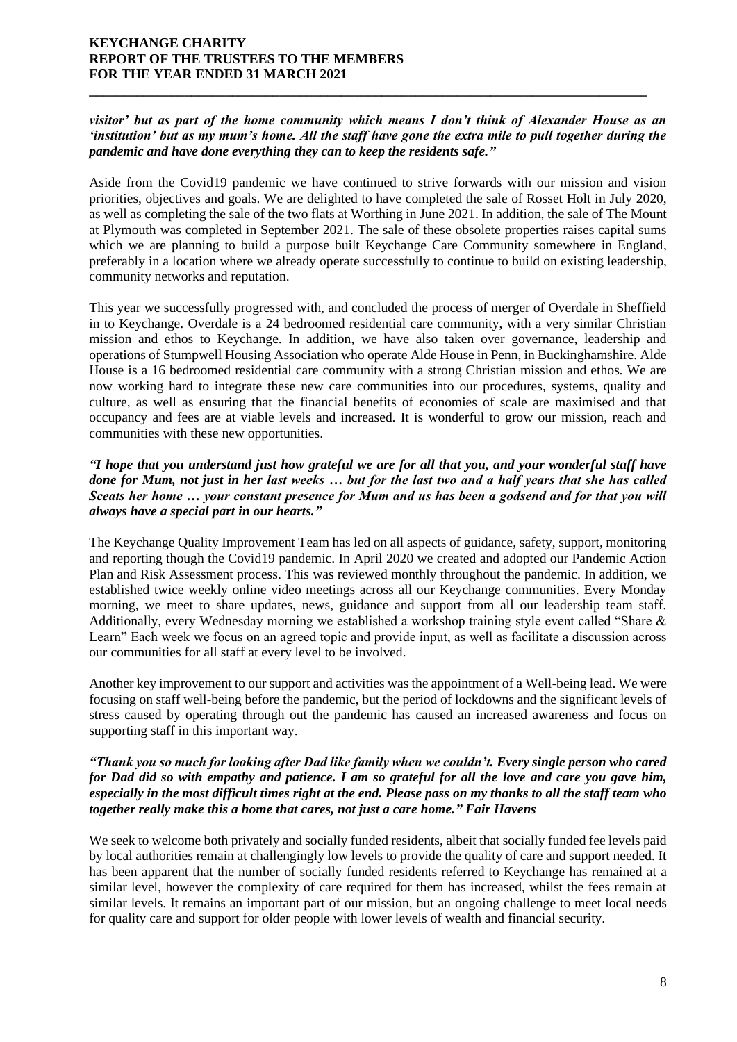## *visitor' but as part of the home community which means I don't think of Alexander House as an 'institution' but as my mum's home. All the staff have gone the extra mile to pull together during the pandemic and have done everything they can to keep the residents safe."*

**\_\_\_\_\_\_\_\_\_\_\_\_\_\_\_\_\_\_\_\_\_\_\_\_\_\_\_\_\_\_\_\_\_\_\_\_\_\_\_\_\_\_\_\_\_\_\_\_\_\_\_\_\_\_\_\_\_\_\_\_\_\_\_\_\_\_\_\_\_\_\_\_\_\_\_\_\_\_\_\_\_\_**

Aside from the Covid19 pandemic we have continued to strive forwards with our mission and vision priorities, objectives and goals. We are delighted to have completed the sale of Rosset Holt in July 2020, as well as completing the sale of the two flats at Worthing in June 2021. In addition, the sale of The Mount at Plymouth was completed in September 2021. The sale of these obsolete properties raises capital sums which we are planning to build a purpose built Keychange Care Community somewhere in England, preferably in a location where we already operate successfully to continue to build on existing leadership, community networks and reputation.

This year we successfully progressed with, and concluded the process of merger of Overdale in Sheffield in to Keychange. Overdale is a 24 bedroomed residential care community, with a very similar Christian mission and ethos to Keychange. In addition, we have also taken over governance, leadership and operations of Stumpwell Housing Association who operate Alde House in Penn, in Buckinghamshire. Alde House is a 16 bedroomed residential care community with a strong Christian mission and ethos. We are now working hard to integrate these new care communities into our procedures, systems, quality and culture, as well as ensuring that the financial benefits of economies of scale are maximised and that occupancy and fees are at viable levels and increased. It is wonderful to grow our mission, reach and communities with these new opportunities.

## *"I hope that you understand just how grateful we are for all that you, and your wonderful staff have done for Mum, not just in her last weeks … but for the last two and a half years that she has called Sceats her home … your constant presence for Mum and us has been a godsend and for that you will always have a special part in our hearts."*

The Keychange Quality Improvement Team has led on all aspects of guidance, safety, support, monitoring and reporting though the Covid19 pandemic. In April 2020 we created and adopted our Pandemic Action Plan and Risk Assessment process. This was reviewed monthly throughout the pandemic. In addition, we established twice weekly online video meetings across all our Keychange communities. Every Monday morning, we meet to share updates, news, guidance and support from all our leadership team staff. Additionally, every Wednesday morning we established a workshop training style event called "Share & Learn" Each week we focus on an agreed topic and provide input, as well as facilitate a discussion across our communities for all staff at every level to be involved.

Another key improvement to our support and activities was the appointment of a Well-being lead. We were focusing on staff well-being before the pandemic, but the period of lockdowns and the significant levels of stress caused by operating through out the pandemic has caused an increased awareness and focus on supporting staff in this important way.

## *"Thank you so much for looking after Dad like family when we couldn't. Every single person who cared for Dad did so with empathy and patience. I am so grateful for all the love and care you gave him, especially in the most difficult times right at the end. Please pass on my thanks to all the staff team who together really make this a home that cares, not just a care home." Fair Havens*

We seek to welcome both privately and socially funded residents, albeit that socially funded fee levels paid by local authorities remain at challengingly low levels to provide the quality of care and support needed. It has been apparent that the number of socially funded residents referred to Keychange has remained at a similar level, however the complexity of care required for them has increased, whilst the fees remain at similar levels. It remains an important part of our mission, but an ongoing challenge to meet local needs for quality care and support for older people with lower levels of wealth and financial security.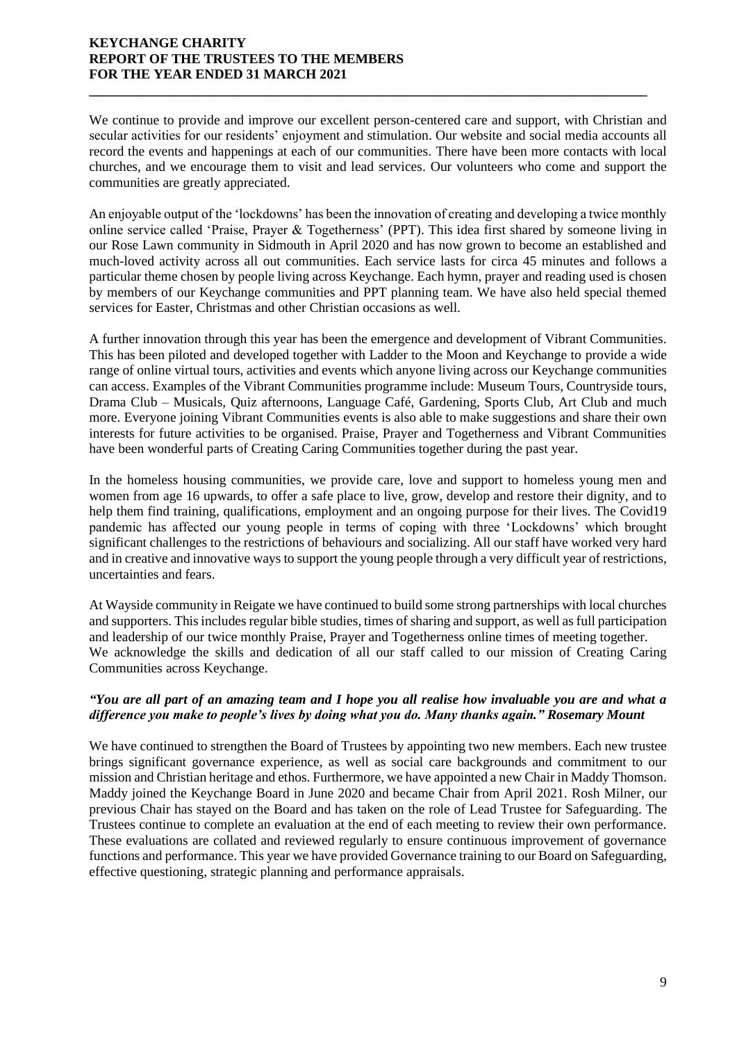We continue to provide and improve our excellent person-centered care and support, with Christian and secular activities for our residents' enjoyment and stimulation. Our website and social media accounts all record the events and happenings at each of our communities. There have been more contacts with local churches, and we encourage them to visit and lead services. Our volunteers who come and support the communities are greatly appreciated.

**\_\_\_\_\_\_\_\_\_\_\_\_\_\_\_\_\_\_\_\_\_\_\_\_\_\_\_\_\_\_\_\_\_\_\_\_\_\_\_\_\_\_\_\_\_\_\_\_\_\_\_\_\_\_\_\_\_\_\_\_\_\_\_\_\_\_\_\_\_\_\_\_\_\_\_\_\_\_\_\_\_\_**

An enjoyable output of the 'lockdowns' has been the innovation of creating and developing a twice monthly online service called 'Praise, Prayer & Togetherness' (PPT). This idea first shared by someone living in our Rose Lawn community in Sidmouth in April 2020 and has now grown to become an established and much-loved activity across all out communities. Each service lasts for circa 45 minutes and follows a particular theme chosen by people living across Keychange. Each hymn, prayer and reading used is chosen by members of our Keychange communities and PPT planning team. We have also held special themed services for Easter, Christmas and other Christian occasions as well.

A further innovation through this year has been the emergence and development of Vibrant Communities. This has been piloted and developed together with Ladder to the Moon and Keychange to provide a wide range of online virtual tours, activities and events which anyone living across our Keychange communities can access. Examples of the Vibrant Communities programme include: Museum Tours, Countryside tours, Drama Club – Musicals, Quiz afternoons, Language Café, Gardening, Sports Club, Art Club and much more. Everyone joining Vibrant Communities events is also able to make suggestions and share their own interests for future activities to be organised. Praise, Prayer and Togetherness and Vibrant Communities have been wonderful parts of Creating Caring Communities together during the past year.

In the homeless housing communities, we provide care, love and support to homeless young men and women from age 16 upwards, to offer a safe place to live, grow, develop and restore their dignity, and to help them find training, qualifications, employment and an ongoing purpose for their lives. The Covid19 pandemic has affected our young people in terms of coping with three 'Lockdowns' which brought significant challenges to the restrictions of behaviours and socializing. All our staff have worked very hard and in creative and innovative ways to support the young people through a very difficult year of restrictions, uncertainties and fears.

At Wayside community in Reigate we have continued to build some strong partnerships with local churches and supporters. This includes regular bible studies, times of sharing and support, as well as full participation and leadership of our twice monthly Praise, Prayer and Togetherness online times of meeting together. We acknowledge the skills and dedication of all our staff called to our mission of Creating Caring Communities across Keychange.

## *"You are all part of an amazing team and I hope you all realise how invaluable you are and what a difference you make to people's lives by doing what you do. Many thanks again." Rosemary Mount*

We have continued to strengthen the Board of Trustees by appointing two new members. Each new trustee brings significant governance experience, as well as social care backgrounds and commitment to our mission and Christian heritage and ethos. Furthermore, we have appointed a new Chair in Maddy Thomson. Maddy joined the Keychange Board in June 2020 and became Chair from April 2021. Rosh Milner, our previous Chair has stayed on the Board and has taken on the role of Lead Trustee for Safeguarding. The Trustees continue to complete an evaluation at the end of each meeting to review their own performance. These evaluations are collated and reviewed regularly to ensure continuous improvement of governance functions and performance. This year we have provided Governance training to our Board on Safeguarding, effective questioning, strategic planning and performance appraisals.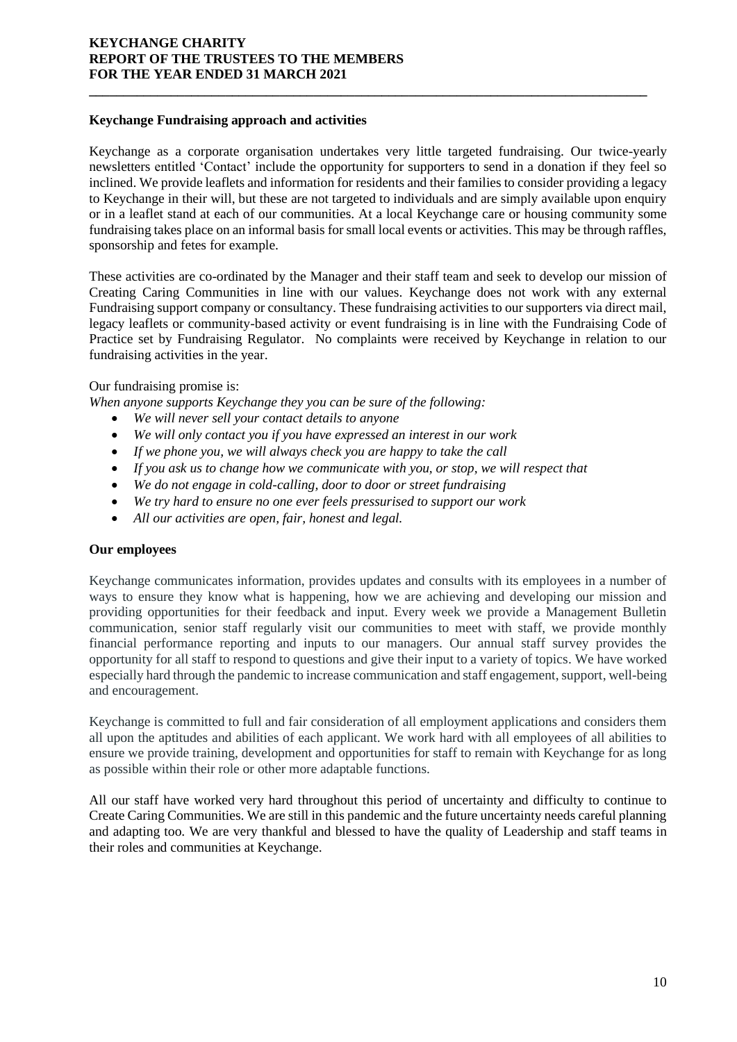## **Keychange Fundraising approach and activities**

Keychange as a corporate organisation undertakes very little targeted fundraising. Our twice-yearly newsletters entitled 'Contact' include the opportunity for supporters to send in a donation if they feel so inclined. We provide leaflets and information for residents and their families to consider providing a legacy to Keychange in their will, but these are not targeted to individuals and are simply available upon enquiry or in a leaflet stand at each of our communities. At a local Keychange care or housing community some fundraising takes place on an informal basis for small local events or activities. This may be through raffles, sponsorship and fetes for example.

**\_\_\_\_\_\_\_\_\_\_\_\_\_\_\_\_\_\_\_\_\_\_\_\_\_\_\_\_\_\_\_\_\_\_\_\_\_\_\_\_\_\_\_\_\_\_\_\_\_\_\_\_\_\_\_\_\_\_\_\_\_\_\_\_\_\_\_\_\_\_\_\_\_\_\_\_\_\_\_\_\_\_**

These activities are co-ordinated by the Manager and their staff team and seek to develop our mission of Creating Caring Communities in line with our values. Keychange does not work with any external Fundraising support company or consultancy. These fundraising activities to our supporters via direct mail, legacy leaflets or community-based activity or event fundraising is in line with the Fundraising Code of Practice set by Fundraising Regulator. No complaints were received by Keychange in relation to our fundraising activities in the year.

## Our fundraising promise is:

*When anyone supports Keychange they you can be sure of the following:*

- *We will never sell your contact details to anyone*
- *We will only contact you if you have expressed an interest in our work*
- *If we phone you, we will always check you are happy to take the call*
- *If you ask us to change how we communicate with you, or stop, we will respect that*
- *We do not engage in cold-calling, door to door or street fundraising*
- *We try hard to ensure no one ever feels pressurised to support our work*
- *All our activities are open, fair, honest and legal.*

## **Our employees**

Keychange communicates information, provides updates and consults with its employees in a number of ways to ensure they know what is happening, how we are achieving and developing our mission and providing opportunities for their feedback and input. Every week we provide a Management Bulletin communication, senior staff regularly visit our communities to meet with staff, we provide monthly financial performance reporting and inputs to our managers. Our annual staff survey provides the opportunity for all staff to respond to questions and give their input to a variety of topics. We have worked especially hard through the pandemic to increase communication and staff engagement, support, well-being and encouragement.

Keychange is committed to full and fair consideration of all employment applications and considers them all upon the aptitudes and abilities of each applicant. We work hard with all employees of all abilities to ensure we provide training, development and opportunities for staff to remain with Keychange for as long as possible within their role or other more adaptable functions.

All our staff have worked very hard throughout this period of uncertainty and difficulty to continue to Create Caring Communities. We are still in this pandemic and the future uncertainty needs careful planning and adapting too. We are very thankful and blessed to have the quality of Leadership and staff teams in their roles and communities at Keychange.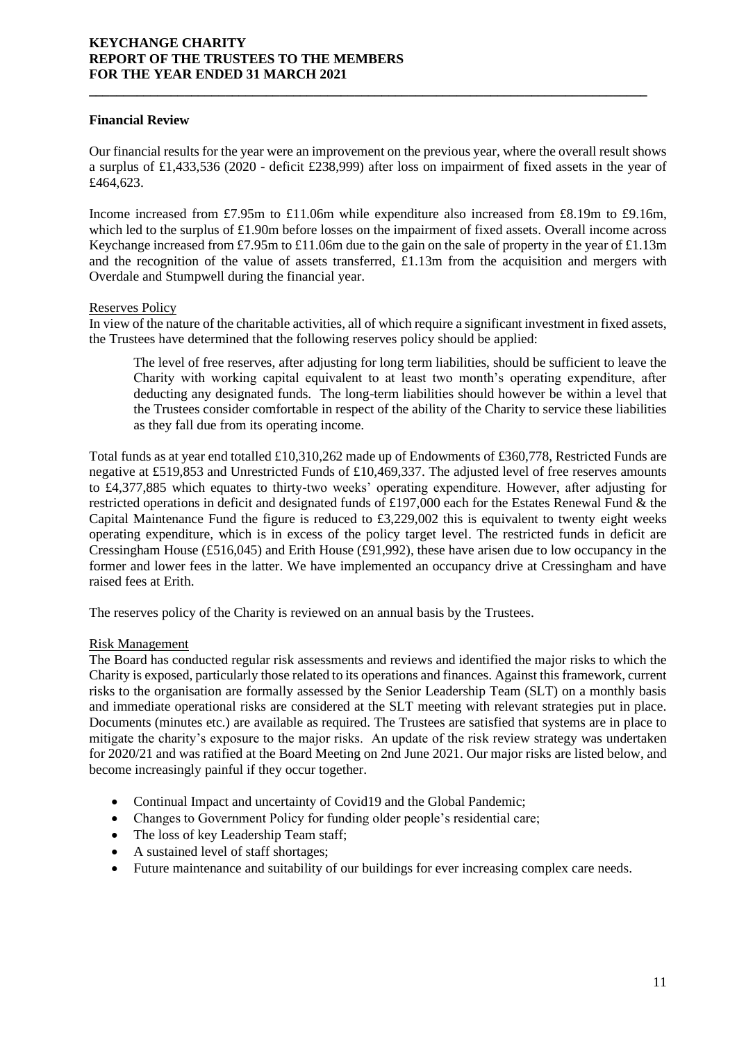## **Financial Review**

Our financial results for the year were an improvement on the previous year, where the overall result shows a surplus of £1,433,536 (2020 - deficit £238,999) after loss on impairment of fixed assets in the year of £464,623.

**\_\_\_\_\_\_\_\_\_\_\_\_\_\_\_\_\_\_\_\_\_\_\_\_\_\_\_\_\_\_\_\_\_\_\_\_\_\_\_\_\_\_\_\_\_\_\_\_\_\_\_\_\_\_\_\_\_\_\_\_\_\_\_\_\_\_\_\_\_\_\_\_\_\_\_\_\_\_\_\_\_\_**

Income increased from £7.95m to £11.06m while expenditure also increased from £8.19m to £9.16m, which led to the surplus of £1.90m before losses on the impairment of fixed assets. Overall income across Keychange increased from £7.95m to £11.06m due to the gain on the sale of property in the year of £1.13m and the recognition of the value of assets transferred, £1.13m from the acquisition and mergers with Overdale and Stumpwell during the financial year.

## Reserves Policy

In view of the nature of the charitable activities, all of which require a significant investment in fixed assets, the Trustees have determined that the following reserves policy should be applied:

The level of free reserves, after adjusting for long term liabilities, should be sufficient to leave the Charity with working capital equivalent to at least two month's operating expenditure, after deducting any designated funds. The long-term liabilities should however be within a level that the Trustees consider comfortable in respect of the ability of the Charity to service these liabilities as they fall due from its operating income.

Total funds as at year end totalled £10,310,262 made up of Endowments of £360,778, Restricted Funds are negative at £519,853 and Unrestricted Funds of £10,469,337. The adjusted level of free reserves amounts to £4,377,885 which equates to thirty-two weeks' operating expenditure. However, after adjusting for restricted operations in deficit and designated funds of £197,000 each for the Estates Renewal Fund & the Capital Maintenance Fund the figure is reduced to £3,229,002 this is equivalent to twenty eight weeks operating expenditure, which is in excess of the policy target level. The restricted funds in deficit are Cressingham House (£516,045) and Erith House (£91,992), these have arisen due to low occupancy in the former and lower fees in the latter. We have implemented an occupancy drive at Cressingham and have raised fees at Erith.

The reserves policy of the Charity is reviewed on an annual basis by the Trustees.

# Risk Management

The Board has conducted regular risk assessments and reviews and identified the major risks to which the Charity is exposed, particularly those related to its operations and finances. Against this framework, current risks to the organisation are formally assessed by the Senior Leadership Team (SLT) on a monthly basis and immediate operational risks are considered at the SLT meeting with relevant strategies put in place. Documents (minutes etc.) are available as required. The Trustees are satisfied that systems are in place to mitigate the charity's exposure to the major risks. An update of the risk review strategy was undertaken for 2020/21 and was ratified at the Board Meeting on 2nd June 2021. Our major risks are listed below, and become increasingly painful if they occur together.

- Continual Impact and uncertainty of Covid19 and the Global Pandemic;
- Changes to Government Policy for funding older people's residential care;
- The loss of key Leadership Team staff;
- A sustained level of staff shortages;
- Future maintenance and suitability of our buildings for ever increasing complex care needs.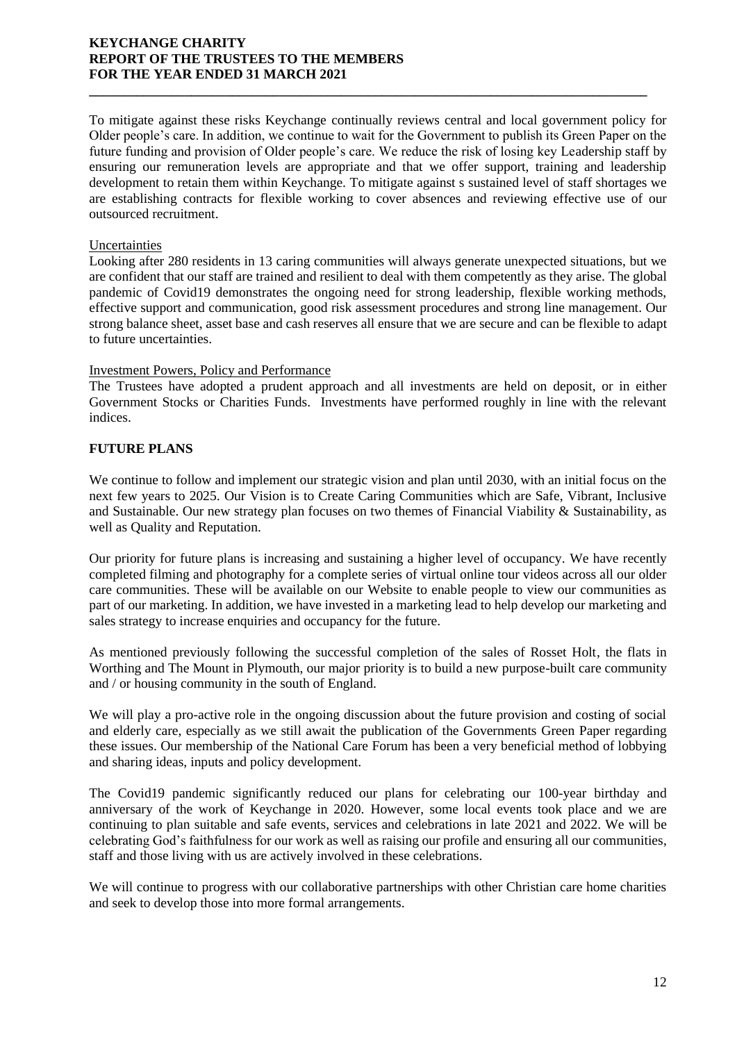To mitigate against these risks Keychange continually reviews central and local government policy for Older people's care. In addition, we continue to wait for the Government to publish its Green Paper on the future funding and provision of Older people's care. We reduce the risk of losing key Leadership staff by ensuring our remuneration levels are appropriate and that we offer support, training and leadership development to retain them within Keychange. To mitigate against s sustained level of staff shortages we are establishing contracts for flexible working to cover absences and reviewing effective use of our outsourced recruitment.

**\_\_\_\_\_\_\_\_\_\_\_\_\_\_\_\_\_\_\_\_\_\_\_\_\_\_\_\_\_\_\_\_\_\_\_\_\_\_\_\_\_\_\_\_\_\_\_\_\_\_\_\_\_\_\_\_\_\_\_\_\_\_\_\_\_\_\_\_\_\_\_\_\_\_\_\_\_\_\_\_\_\_**

## Uncertainties

Looking after 280 residents in 13 caring communities will always generate unexpected situations, but we are confident that our staff are trained and resilient to deal with them competently as they arise. The global pandemic of Covid19 demonstrates the ongoing need for strong leadership, flexible working methods, effective support and communication, good risk assessment procedures and strong line management. Our strong balance sheet, asset base and cash reserves all ensure that we are secure and can be flexible to adapt to future uncertainties.

## Investment Powers, Policy and Performance

The Trustees have adopted a prudent approach and all investments are held on deposit, or in either Government Stocks or Charities Funds. Investments have performed roughly in line with the relevant indices.

# **FUTURE PLANS**

We continue to follow and implement our strategic vision and plan until 2030, with an initial focus on the next few years to 2025. Our Vision is to Create Caring Communities which are Safe, Vibrant, Inclusive and Sustainable. Our new strategy plan focuses on two themes of Financial Viability & Sustainability, as well as Quality and Reputation.

Our priority for future plans is increasing and sustaining a higher level of occupancy. We have recently completed filming and photography for a complete series of virtual online tour videos across all our older care communities. These will be available on our Website to enable people to view our communities as part of our marketing. In addition, we have invested in a marketing lead to help develop our marketing and sales strategy to increase enquiries and occupancy for the future.

As mentioned previously following the successful completion of the sales of Rosset Holt, the flats in Worthing and The Mount in Plymouth, our major priority is to build a new purpose-built care community and / or housing community in the south of England.

We will play a pro-active role in the ongoing discussion about the future provision and costing of social and elderly care, especially as we still await the publication of the Governments Green Paper regarding these issues. Our membership of the National Care Forum has been a very beneficial method of lobbying and sharing ideas, inputs and policy development.

The Covid19 pandemic significantly reduced our plans for celebrating our 100-year birthday and anniversary of the work of Keychange in 2020. However, some local events took place and we are continuing to plan suitable and safe events, services and celebrations in late 2021 and 2022. We will be celebrating God's faithfulness for our work as well as raising our profile and ensuring all our communities, staff and those living with us are actively involved in these celebrations.

We will continue to progress with our collaborative partnerships with other Christian care home charities and seek to develop those into more formal arrangements.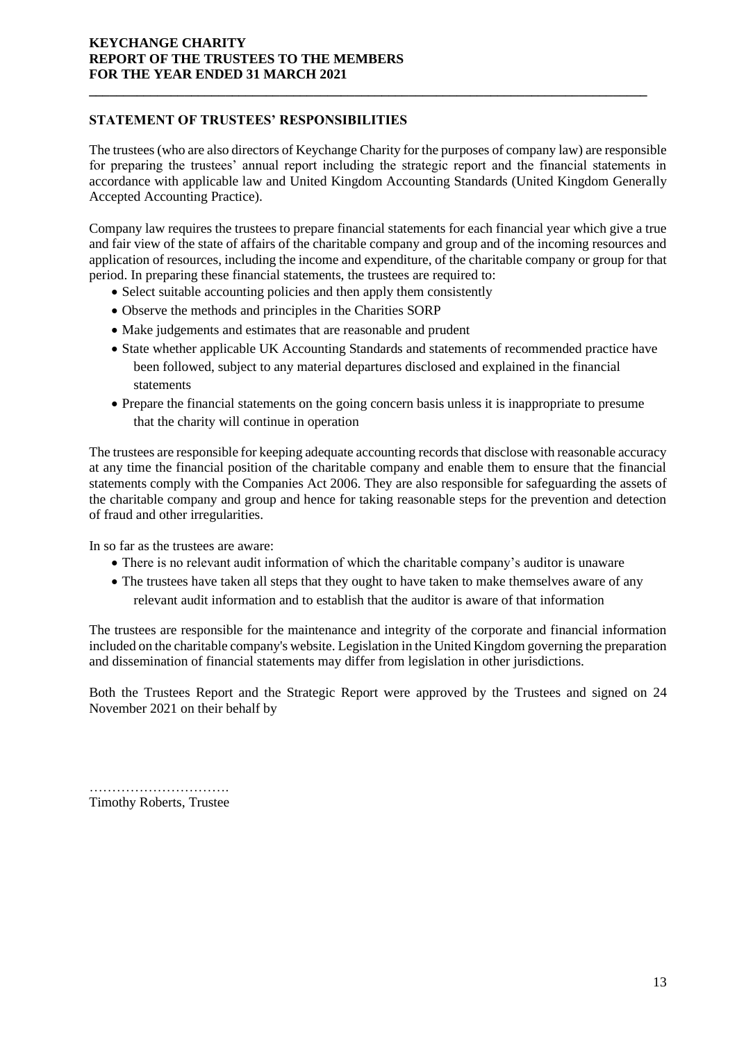# **STATEMENT OF TRUSTEES' RESPONSIBILITIES**

The trustees (who are also directors of Keychange Charity for the purposes of company law) are responsible for preparing the trustees' annual report including the strategic report and the financial statements in accordance with applicable law and United Kingdom Accounting Standards (United Kingdom Generally Accepted Accounting Practice).

**\_\_\_\_\_\_\_\_\_\_\_\_\_\_\_\_\_\_\_\_\_\_\_\_\_\_\_\_\_\_\_\_\_\_\_\_\_\_\_\_\_\_\_\_\_\_\_\_\_\_\_\_\_\_\_\_\_\_\_\_\_\_\_\_\_\_\_\_\_\_\_\_\_\_\_\_\_\_\_\_\_\_**

Company law requires the trustees to prepare financial statements for each financial year which give a true and fair view of the state of affairs of the charitable company and group and of the incoming resources and application of resources, including the income and expenditure, of the charitable company or group for that period. In preparing these financial statements, the trustees are required to:

- Select suitable accounting policies and then apply them consistently
- Observe the methods and principles in the Charities SORP
- Make judgements and estimates that are reasonable and prudent
- State whether applicable UK Accounting Standards and statements of recommended practice have been followed, subject to any material departures disclosed and explained in the financial statements
- Prepare the financial statements on the going concern basis unless it is inappropriate to presume that the charity will continue in operation

The trustees are responsible for keeping adequate accounting records that disclose with reasonable accuracy at any time the financial position of the charitable company and enable them to ensure that the financial statements comply with the Companies Act 2006. They are also responsible for safeguarding the assets of the charitable company and group and hence for taking reasonable steps for the prevention and detection of fraud and other irregularities.

In so far as the trustees are aware:

- There is no relevant audit information of which the charitable company's auditor is unaware
- The trustees have taken all steps that they ought to have taken to make themselves aware of any relevant audit information and to establish that the auditor is aware of that information

The trustees are responsible for the maintenance and integrity of the corporate and financial information included on the charitable company's website. Legislation in the United Kingdom governing the preparation and dissemination of financial statements may differ from legislation in other jurisdictions.

Both the Trustees Report and the Strategic Report were approved by the Trustees and signed on 24 November 2021 on their behalf by

…………………………. Timothy Roberts, Trustee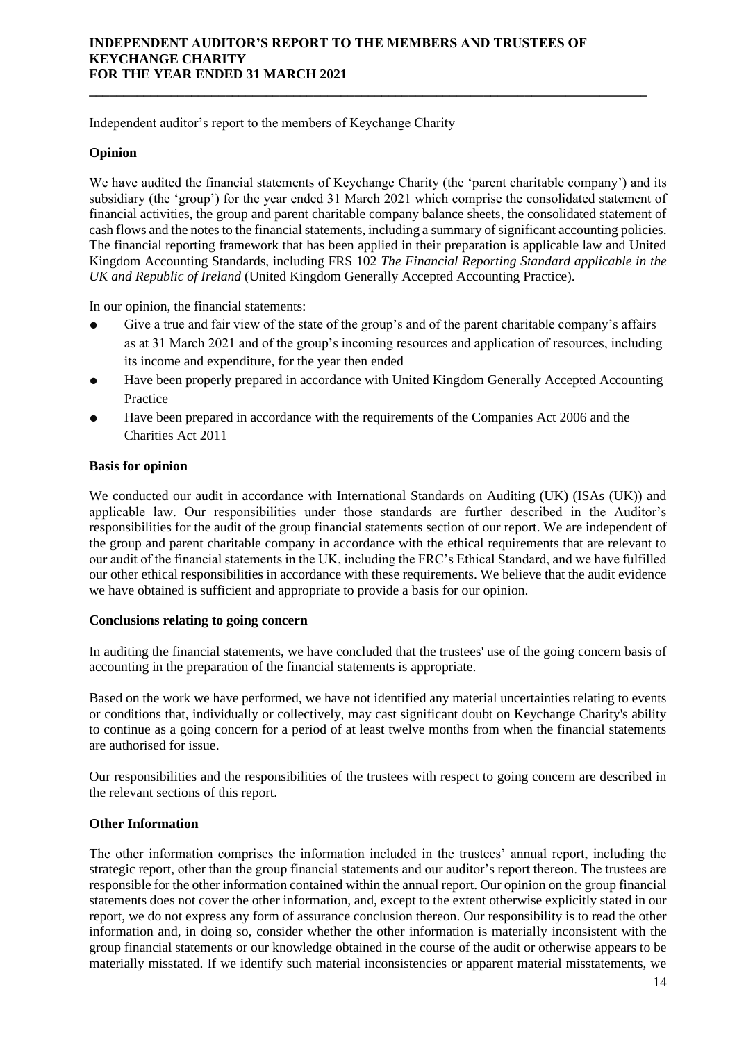**\_\_\_\_\_\_\_\_\_\_\_\_\_\_\_\_\_\_\_\_\_\_\_\_\_\_\_\_\_\_\_\_\_\_\_\_\_\_\_\_\_\_\_\_\_\_\_\_\_\_\_\_\_\_\_\_\_\_\_\_\_\_\_\_\_\_\_\_\_\_\_\_\_\_\_\_\_\_\_\_\_\_**

Independent auditor's report to the members of Keychange Charity

# **Opinion**

We have audited the financial statements of Keychange Charity (the 'parent charitable company') and its subsidiary (the 'group') for the year ended 31 March 2021 which comprise the consolidated statement of financial activities, the group and parent charitable company balance sheets, the consolidated statement of cash flows and the notes to the financial statements, including a summary of significant accounting policies. The financial reporting framework that has been applied in their preparation is applicable law and United Kingdom Accounting Standards, including FRS 102 *The Financial Reporting Standard applicable in the UK and Republic of Ireland* (United Kingdom Generally Accepted Accounting Practice).

In our opinion, the financial statements:

- Give a true and fair view of the state of the group's and of the parent charitable company's affairs as at 31 March 2021 and of the group's incoming resources and application of resources, including its income and expenditure, for the year then ended
- Have been properly prepared in accordance with United Kingdom Generally Accepted Accounting Practice
- Have been prepared in accordance with the requirements of the Companies Act 2006 and the Charities Act 2011

## **Basis for opinion**

We conducted our audit in accordance with International Standards on Auditing (UK) (ISAs (UK)) and applicable law. Our responsibilities under those standards are further described in the Auditor's responsibilities for the audit of the group financial statements section of our report. We are independent of the group and parent charitable company in accordance with the ethical requirements that are relevant to our audit of the financial statements in the UK, including the FRC's Ethical Standard, and we have fulfilled our other ethical responsibilities in accordance with these requirements. We believe that the audit evidence we have obtained is sufficient and appropriate to provide a basis for our opinion.

## **Conclusions relating to going concern**

In auditing the financial statements, we have concluded that the trustees' use of the going concern basis of accounting in the preparation of the financial statements is appropriate.

Based on the work we have performed, we have not identified any material uncertainties relating to events or conditions that, individually or collectively, may cast significant doubt on Keychange Charity's ability to continue as a going concern for a period of at least twelve months from when the financial statements are authorised for issue.

Our responsibilities and the responsibilities of the trustees with respect to going concern are described in the relevant sections of this report.

# **Other Information**

The other information comprises the information included in the trustees' annual report, including the strategic report, other than the group financial statements and our auditor's report thereon. The trustees are responsible for the other information contained within the annual report. Our opinion on the group financial statements does not cover the other information, and, except to the extent otherwise explicitly stated in our report, we do not express any form of assurance conclusion thereon. Our responsibility is to read the other information and, in doing so, consider whether the other information is materially inconsistent with the group financial statements or our knowledge obtained in the course of the audit or otherwise appears to be materially misstated. If we identify such material inconsistencies or apparent material misstatements, we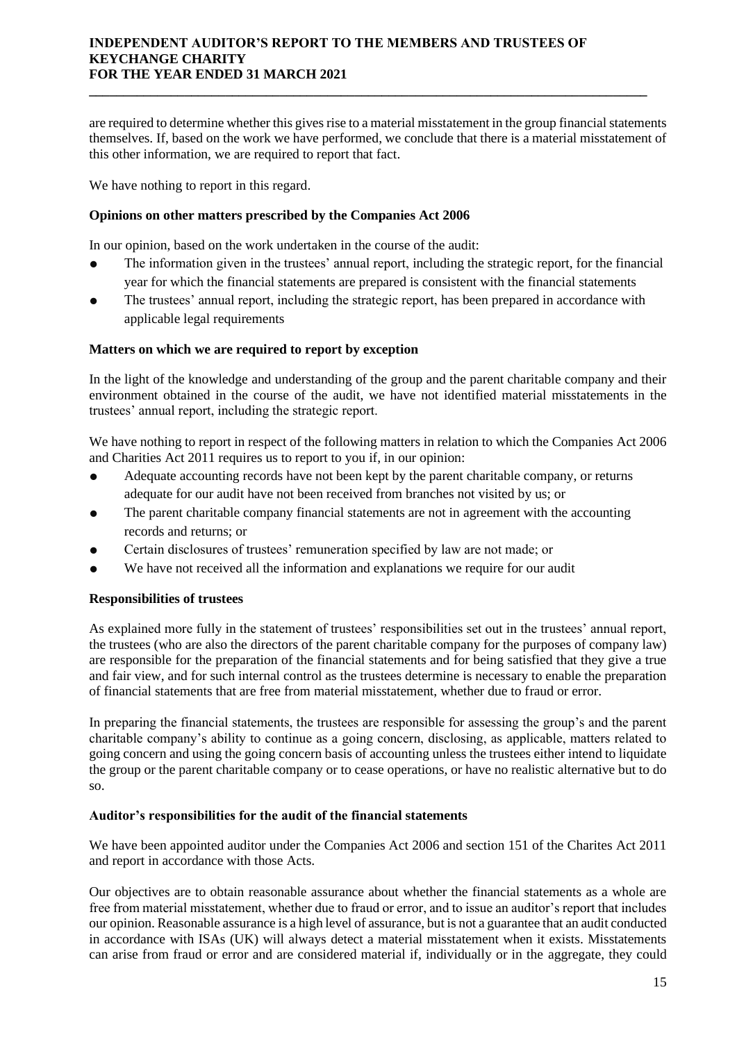are required to determine whether this gives rise to a material misstatement in the group financial statements themselves. If, based on the work we have performed, we conclude that there is a material misstatement of this other information, we are required to report that fact.

**\_\_\_\_\_\_\_\_\_\_\_\_\_\_\_\_\_\_\_\_\_\_\_\_\_\_\_\_\_\_\_\_\_\_\_\_\_\_\_\_\_\_\_\_\_\_\_\_\_\_\_\_\_\_\_\_\_\_\_\_\_\_\_\_\_\_\_\_\_\_\_\_\_\_\_\_\_\_\_\_\_\_**

We have nothing to report in this regard.

# **Opinions on other matters prescribed by the Companies Act 2006**

In our opinion, based on the work undertaken in the course of the audit:

- The information given in the trustees' annual report, including the strategic report, for the financial year for which the financial statements are prepared is consistent with the financial statements
- The trustees' annual report, including the strategic report, has been prepared in accordance with applicable legal requirements

## **Matters on which we are required to report by exception**

In the light of the knowledge and understanding of the group and the parent charitable company and their environment obtained in the course of the audit, we have not identified material misstatements in the trustees' annual report, including the strategic report.

We have nothing to report in respect of the following matters in relation to which the Companies Act 2006 and Charities Act 2011 requires us to report to you if, in our opinion:

- Adequate accounting records have not been kept by the parent charitable company, or returns adequate for our audit have not been received from branches not visited by us; or
- The parent charitable company financial statements are not in agreement with the accounting records and returns; or
- Certain disclosures of trustees' remuneration specified by law are not made; or
- We have not received all the information and explanations we require for our audit

# **Responsibilities of trustees**

As explained more fully in the statement of trustees' responsibilities set out in the trustees' annual report, the trustees (who are also the directors of the parent charitable company for the purposes of company law) are responsible for the preparation of the financial statements and for being satisfied that they give a true and fair view, and for such internal control as the trustees determine is necessary to enable the preparation of financial statements that are free from material misstatement, whether due to fraud or error.

In preparing the financial statements, the trustees are responsible for assessing the group's and the parent charitable company's ability to continue as a going concern, disclosing, as applicable, matters related to going concern and using the going concern basis of accounting unless the trustees either intend to liquidate the group or the parent charitable company or to cease operations, or have no realistic alternative but to do so.

## **Auditor's responsibilities for the audit of the financial statements**

We have been appointed auditor under the Companies Act 2006 and section 151 of the Charites Act 2011 and report in accordance with those Acts.

Our objectives are to obtain reasonable assurance about whether the financial statements as a whole are free from material misstatement, whether due to fraud or error, and to issue an auditor's report that includes our opinion. Reasonable assurance is a high level of assurance, but is not a guarantee that an audit conducted in accordance with ISAs (UK) will always detect a material misstatement when it exists. Misstatements can arise from fraud or error and are considered material if, individually or in the aggregate, they could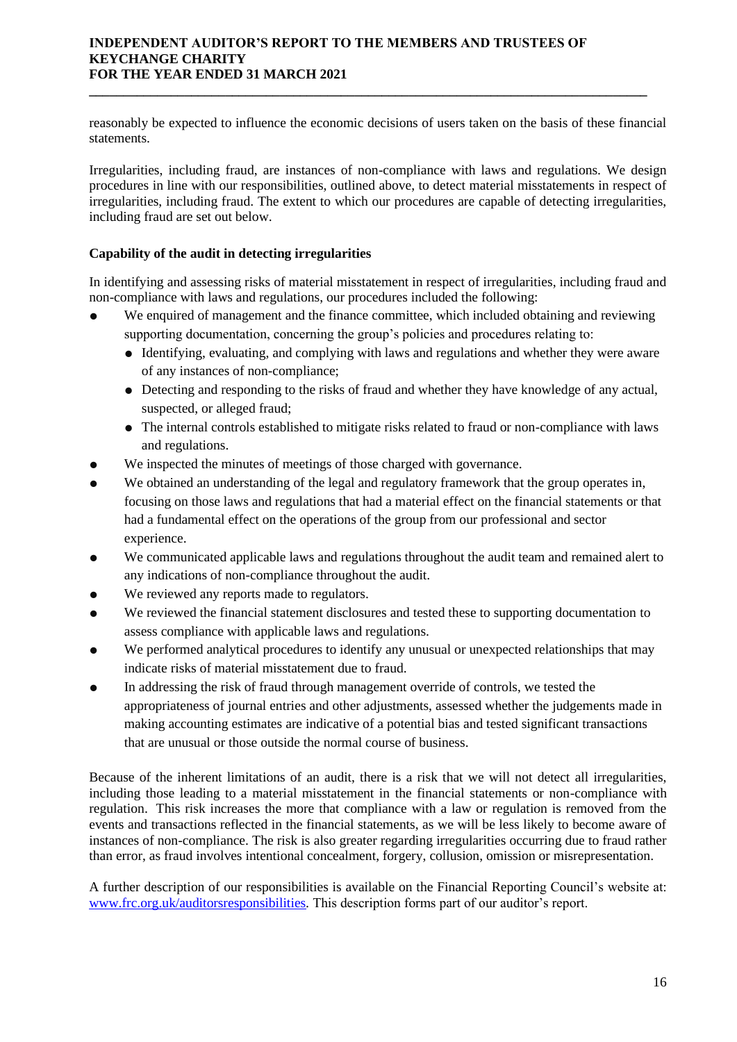reasonably be expected to influence the economic decisions of users taken on the basis of these financial statements.

**\_\_\_\_\_\_\_\_\_\_\_\_\_\_\_\_\_\_\_\_\_\_\_\_\_\_\_\_\_\_\_\_\_\_\_\_\_\_\_\_\_\_\_\_\_\_\_\_\_\_\_\_\_\_\_\_\_\_\_\_\_\_\_\_\_\_\_\_\_\_\_\_\_\_\_\_\_\_\_\_\_\_**

Irregularities, including fraud, are instances of non-compliance with laws and regulations. We design procedures in line with our responsibilities, outlined above, to detect material misstatements in respect of irregularities, including fraud. The extent to which our procedures are capable of detecting irregularities, including fraud are set out below.

# **Capability of the audit in detecting irregularities**

In identifying and assessing risks of material misstatement in respect of irregularities, including fraud and non-compliance with laws and regulations, our procedures included the following:

- We enquired of management and the finance committee, which included obtaining and reviewing supporting documentation, concerning the group's policies and procedures relating to:
	- Identifying, evaluating, and complying with laws and regulations and whether they were aware of any instances of non-compliance;
	- Detecting and responding to the risks of fraud and whether they have knowledge of any actual, suspected, or alleged fraud;
	- The internal controls established to mitigate risks related to fraud or non-compliance with laws and regulations.
- We inspected the minutes of meetings of those charged with governance.
- We obtained an understanding of the legal and regulatory framework that the group operates in, focusing on those laws and regulations that had a material effect on the financial statements or that had a fundamental effect on the operations of the group from our professional and sector experience.
- We communicated applicable laws and regulations throughout the audit team and remained alert to any indications of non-compliance throughout the audit.
- We reviewed any reports made to regulators.
- We reviewed the financial statement disclosures and tested these to supporting documentation to assess compliance with applicable laws and regulations.
- We performed analytical procedures to identify any unusual or unexpected relationships that may indicate risks of material misstatement due to fraud.
- In addressing the risk of fraud through management override of controls, we tested the appropriateness of journal entries and other adjustments, assessed whether the judgements made in making accounting estimates are indicative of a potential bias and tested significant transactions that are unusual or those outside the normal course of business.

Because of the inherent limitations of an audit, there is a risk that we will not detect all irregularities, including those leading to a material misstatement in the financial statements or non-compliance with regulation. This risk increases the more that compliance with a law or regulation is removed from the events and transactions reflected in the financial statements, as we will be less likely to become aware of instances of non-compliance. The risk is also greater regarding irregularities occurring due to fraud rather than error, as fraud involves intentional concealment, forgery, collusion, omission or misrepresentation.

A further description of our responsibilities is available on the Financial Reporting Council's website at: [www.frc.org.uk/auditorsresponsibilities](http://www.frc.org.uk/auditorsresponsibilities)*.* This description forms part of our auditor's report.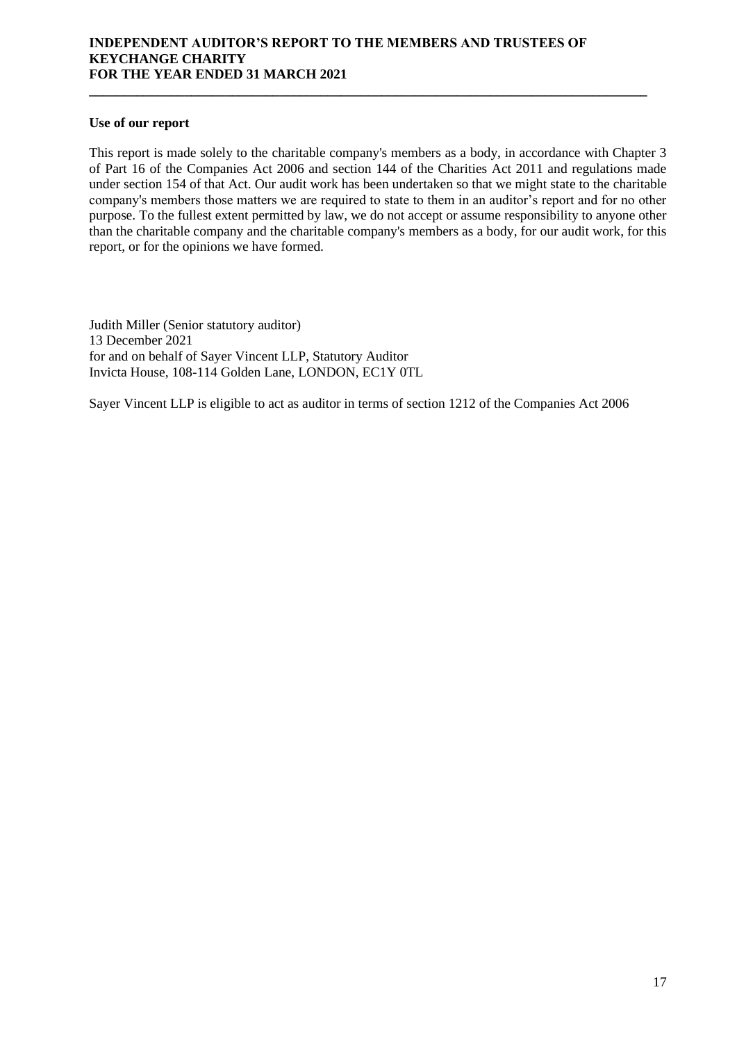## **Use of our report**

This report is made solely to the charitable company's members as a body, in accordance with Chapter 3 of Part 16 of the Companies Act 2006 and section 144 of the Charities Act 2011 and regulations made under section 154 of that Act. Our audit work has been undertaken so that we might state to the charitable company's members those matters we are required to state to them in an auditor's report and for no other purpose. To the fullest extent permitted by law, we do not accept or assume responsibility to anyone other than the charitable company and the charitable company's members as a body, for our audit work, for this report, or for the opinions we have formed.

**\_\_\_\_\_\_\_\_\_\_\_\_\_\_\_\_\_\_\_\_\_\_\_\_\_\_\_\_\_\_\_\_\_\_\_\_\_\_\_\_\_\_\_\_\_\_\_\_\_\_\_\_\_\_\_\_\_\_\_\_\_\_\_\_\_\_\_\_\_\_\_\_\_\_\_\_\_\_\_\_\_\_**

Judith Miller (Senior statutory auditor) 13 December 2021 for and on behalf of Sayer Vincent LLP, Statutory Auditor Invicta House, 108-114 Golden Lane, LONDON, EC1Y 0TL

Sayer Vincent LLP is eligible to act as auditor in terms of section 1212 of the Companies Act 2006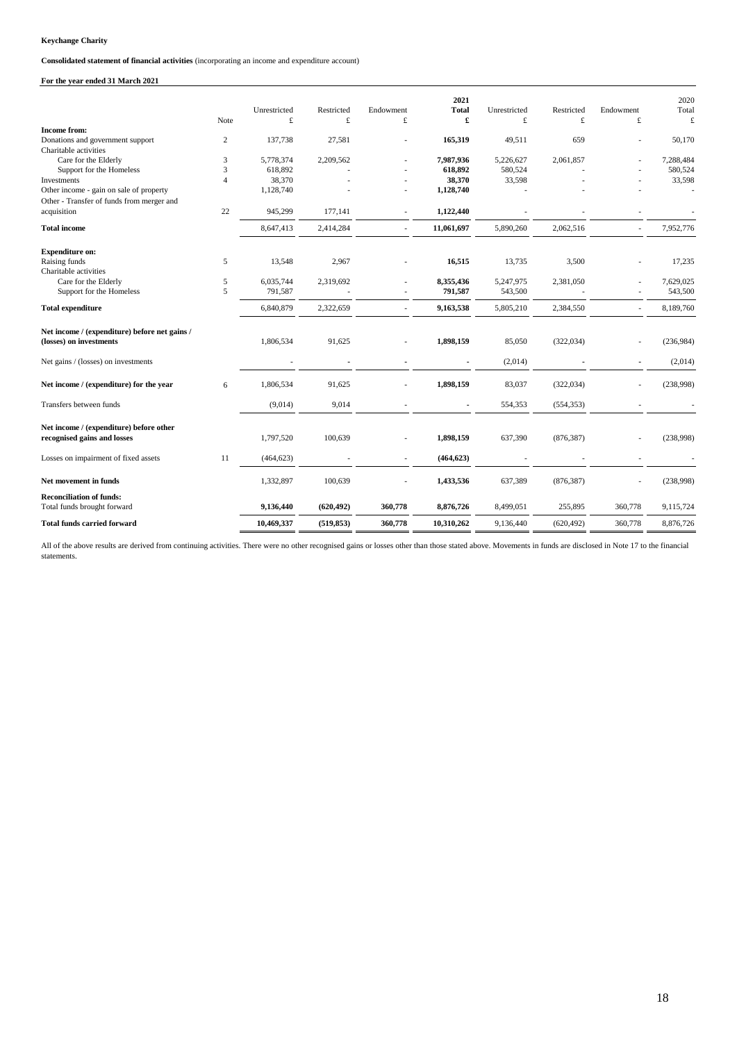**Consolidated statement of financial activities** (incorporating an income and expenditure account)

## **For the year ended 31 March 2021**

|                                                                          |                | Unrestricted | Restricted | Endowment | 2021<br><b>Total</b> | Unrestricted | Restricted | Endowment      | 2020<br>Total |
|--------------------------------------------------------------------------|----------------|--------------|------------|-----------|----------------------|--------------|------------|----------------|---------------|
|                                                                          | Note           | £            | £          | £         | £                    | £            | £          | £              | £             |
| <b>Income from:</b>                                                      |                |              |            |           |                      |              |            |                |               |
| Donations and government support                                         | $\mathbf{2}$   | 137,738      | 27,581     | ٠         | 165,319              | 49,511       | 659        | ÷.             | 50,170        |
| Charitable activities                                                    |                |              |            |           |                      |              |            |                |               |
| Care for the Elderly                                                     | 3              | 5,778,374    | 2,209,562  |           | 7,987,936            | 5,226,627    | 2,061,857  |                | 7,288,484     |
| Support for the Homeless                                                 | 3              | 618,892      |            |           | 618,892              | 580,524      |            |                | 580,524       |
| Investments                                                              | $\overline{4}$ | 38,370       |            |           | 38,370               | 33,598       |            |                | 33,598        |
| Other income - gain on sale of property                                  |                | 1,128,740    |            |           | 1,128,740            |              |            |                |               |
| Other - Transfer of funds from merger and                                |                |              |            |           |                      |              |            |                |               |
| acquisition                                                              | 22             | 945,299      | 177,141    |           | 1,122,440            |              |            |                |               |
| <b>Total income</b>                                                      |                | 8,647,413    | 2,414,284  |           | 11,061,697           | 5,890,260    | 2,062,516  | ä,             | 7,952,776     |
| <b>Expenditure on:</b>                                                   |                |              |            |           |                      |              |            |                |               |
| Raising funds                                                            | 5              | 13,548       | 2,967      |           | 16,515               | 13,735       | 3,500      |                | 17,235        |
| Charitable activities                                                    |                |              |            |           |                      |              |            |                |               |
| Care for the Elderly                                                     | 5              | 6,035,744    | 2,319,692  |           | 8,355,436            | 5,247,975    | 2,381,050  |                | 7,629,025     |
| Support for the Homeless                                                 | 5              | 791,587      |            |           | 791,587              | 543,500      |            |                | 543,500       |
| <b>Total expenditure</b>                                                 |                | 6,840,879    | 2,322,659  | ÷.        | 9,163,538            | 5,805,210    | 2,384,550  | ٠              | 8,189,760     |
| Net income / (expenditure) before net gains /<br>(losses) on investments |                | 1,806,534    | 91,625     |           | 1,898,159            | 85,050       | (322, 034) |                | (236,984)     |
| Net gains / (losses) on investments                                      |                |              |            |           |                      | (2,014)      |            | $\blacksquare$ | (2,014)       |
| Net income / (expenditure) for the year                                  | 6              | 1,806,534    | 91,625     |           | 1,898,159            | 83,037       | (322, 034) | ٠              | (238,998)     |
| Transfers between funds                                                  |                | (9,014)      | 9,014      |           |                      | 554,353      | (554, 353) |                |               |
| Net income / (expenditure) before other<br>recognised gains and losses   |                | 1,797,520    | 100,639    |           | 1,898,159            | 637,390      | (876, 387) |                | (238,998)     |
| Losses on impairment of fixed assets                                     | 11             | (464, 623)   |            |           | (464, 623)           |              |            |                |               |
| Net movement in funds                                                    |                | 1,332,897    | 100,639    |           | 1,433,536            | 637,389      | (876, 387) |                | (238,998)     |
| <b>Reconciliation of funds:</b><br>Total funds brought forward           |                | 9,136,440    | (620, 492) | 360,778   | 8,876,726            | 8,499,051    | 255,895    | 360,778        | 9,115,724     |
| <b>Total funds carried forward</b>                                       |                | 10,469,337   | (519, 853) | 360,778   | 10,310,262           | 9,136,440    | (620, 492) | 360,778        | 8,876,726     |

All of the above results are derived from continuing activities. There were no other recognised gains or losses other than those stated above. Movements in funds are disclosed in Note 17 to the financial statements.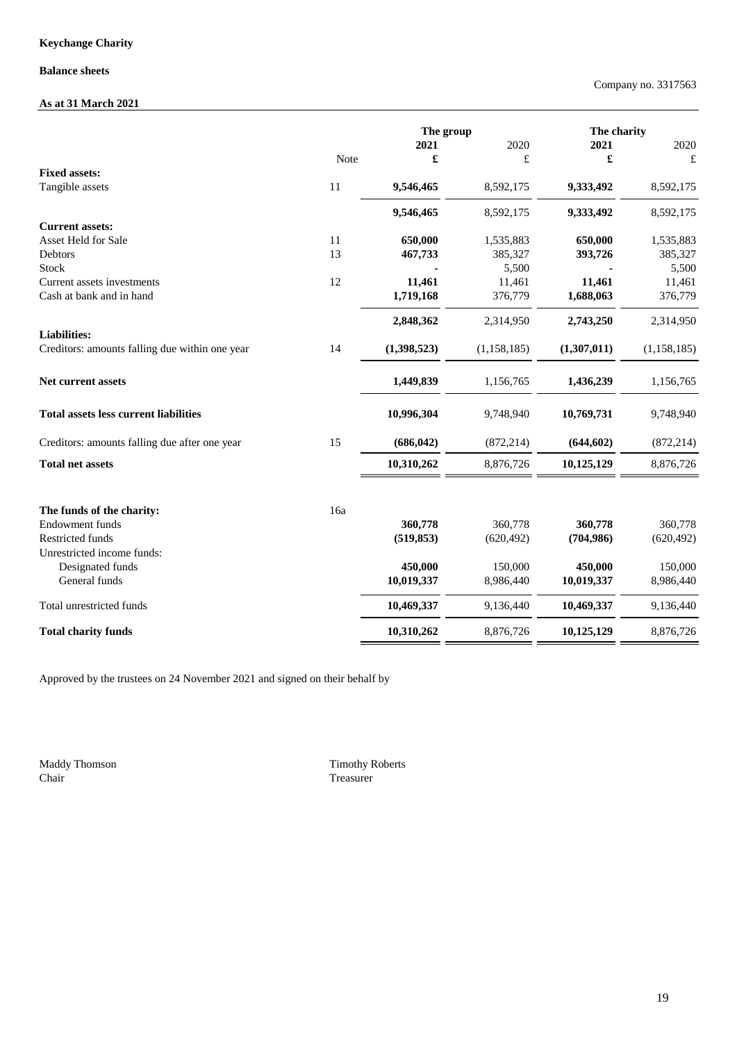## **Balance sheets**

# **As at 31 March 2021**

|                                                |      | The group   |               | The charity |             |
|------------------------------------------------|------|-------------|---------------|-------------|-------------|
|                                                |      | 2021        | 2020          | 2021        | 2020        |
|                                                | Note | £           | £             | £           | £           |
| <b>Fixed assets:</b>                           |      |             |               |             |             |
| Tangible assets                                | 11   | 9,546,465   | 8,592,175     | 9,333,492   | 8,592,175   |
|                                                |      | 9,546,465   | 8,592,175     | 9,333,492   | 8,592,175   |
| <b>Current assets:</b>                         |      |             |               |             |             |
| Asset Held for Sale                            | 11   | 650,000     | 1,535,883     | 650,000     | 1,535,883   |
| Debtors                                        | 13   | 467,733     | 385,327       | 393,726     | 385,327     |
| <b>Stock</b>                                   |      |             | 5,500         |             | 5,500       |
| Current assets investments                     | 12   | 11,461      | 11,461        | 11,461      | 11,461      |
| Cash at bank and in hand                       |      | 1,719,168   | 376,779       | 1,688,063   | 376,779     |
|                                                |      | 2,848,362   | 2,314,950     | 2,743,250   | 2,314,950   |
| <b>Liabilities:</b>                            |      |             |               |             |             |
| Creditors: amounts falling due within one year | 14   | (1,398,523) | (1, 158, 185) | (1,307,011) | (1,158,185) |
| <b>Net current assets</b>                      |      | 1,449,839   | 1,156,765     | 1,436,239   | 1,156,765   |
| <b>Total assets less current liabilities</b>   |      | 10,996,304  | 9,748,940     | 10,769,731  | 9,748,940   |
| Creditors: amounts falling due after one year  | 15   | (686, 042)  | (872, 214)    | (644, 602)  | (872, 214)  |
| <b>Total net assets</b>                        |      | 10,310,262  | 8,876,726     | 10,125,129  | 8,876,726   |
| The funds of the charity:                      | 16a  |             |               |             |             |
| <b>Endowment</b> funds                         |      | 360,778     | 360,778       | 360,778     | 360,778     |
| <b>Restricted funds</b>                        |      | (519, 853)  | (620, 492)    | (704, 986)  | (620, 492)  |
| Unrestricted income funds:                     |      |             |               |             |             |
| Designated funds                               |      | 450,000     | 150,000       | 450,000     | 150,000     |
| General funds                                  |      | 10,019,337  | 8,986,440     | 10,019,337  | 8,986,440   |
| Total unrestricted funds                       |      | 10,469,337  | 9,136,440     | 10,469,337  | 9,136,440   |
| <b>Total charity funds</b>                     |      | 10,310,262  | 8,876,726     | 10,125,129  | 8,876,726   |

Approved by the trustees on 24 November 2021 and signed on their behalf by

Maddy Thomson Chair

Treasurer Timothy Roberts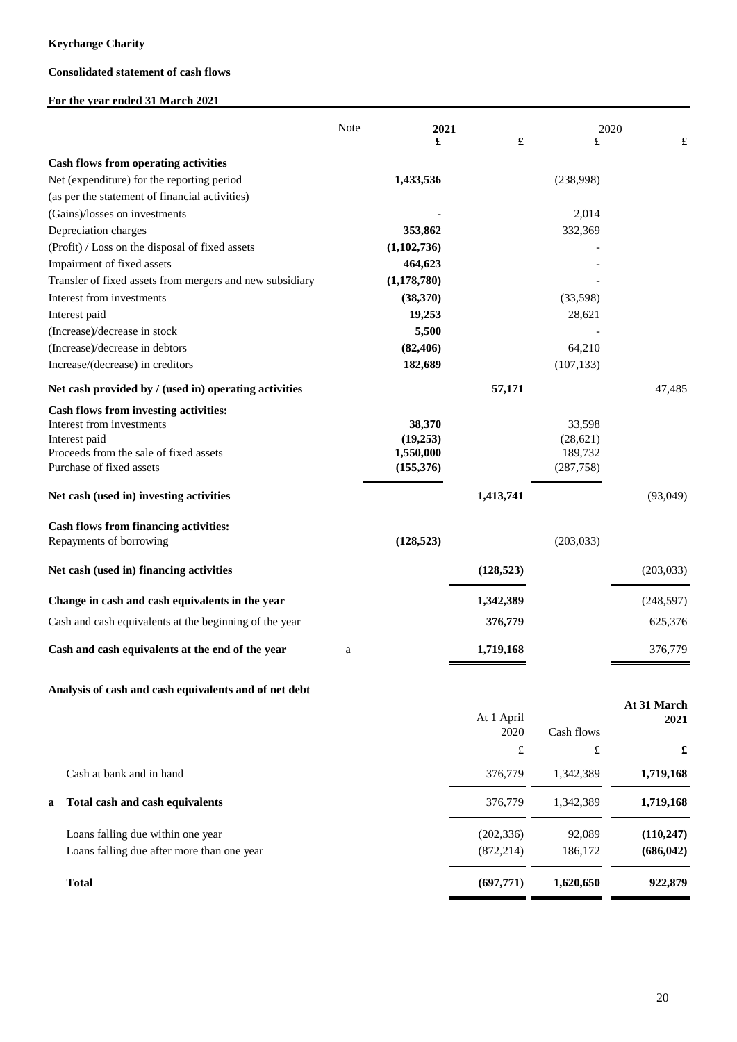## **Consolidated statement of cash flows**

## **For the year ended 31 March 2021**

|                                                                    | Note | 2021                    |            |                       | 2020       |
|--------------------------------------------------------------------|------|-------------------------|------------|-----------------------|------------|
|                                                                    |      | £                       | £          | £                     | £          |
| <b>Cash flows from operating activities</b>                        |      |                         |            |                       |            |
| Net (expenditure) for the reporting period                         |      | 1,433,536               |            | (238,998)             |            |
| (as per the statement of financial activities)                     |      |                         |            |                       |            |
| (Gains)/losses on investments                                      |      |                         |            | 2,014                 |            |
| Depreciation charges                                               |      | 353,862                 |            | 332,369               |            |
| (Profit) / Loss on the disposal of fixed assets                    |      | (1,102,736)             |            |                       |            |
| Impairment of fixed assets                                         |      | 464,623                 |            |                       |            |
| Transfer of fixed assets from mergers and new subsidiary           |      | (1, 178, 780)           |            |                       |            |
| Interest from investments                                          |      | (38,370)                |            | (33,598)              |            |
| Interest paid                                                      |      | 19,253                  |            | 28,621                |            |
| (Increase)/decrease in stock                                       |      | 5,500                   |            |                       |            |
| (Increase)/decrease in debtors                                     |      | (82, 406)               |            | 64,210                |            |
| Increase/(decrease) in creditors                                   |      | 182,689                 |            | (107, 133)            |            |
| Net cash provided by / (used in) operating activities              |      |                         | 57,171     |                       | 47,485     |
| Cash flows from investing activities:                              |      |                         |            |                       |            |
| Interest from investments                                          |      | 38,370                  |            | 33,598                |            |
| Interest paid                                                      |      | (19,253)                |            | (28, 621)             |            |
| Proceeds from the sale of fixed assets<br>Purchase of fixed assets |      | 1,550,000<br>(155, 376) |            | 189,732<br>(287, 758) |            |
|                                                                    |      |                         |            |                       |            |
| Net cash (used in) investing activities                            |      |                         | 1,413,741  |                       | (93,049)   |
| Cash flows from financing activities:                              |      |                         |            |                       |            |
| Repayments of borrowing                                            |      | (128, 523)              |            | (203, 033)            |            |
| Net cash (used in) financing activities                            |      |                         | (128, 523) |                       | (203, 033) |
| Change in cash and cash equivalents in the year                    |      |                         | 1,342,389  |                       | (248, 597) |
| Cash and cash equivalents at the beginning of the year             |      |                         | 376,779    |                       | 625,376    |
| Cash and cash equivalents at the end of the year                   | a    |                         | 1,719,168  |                       | 376,779    |
| Analysis of cash and cash equivalents and of net debt              |      |                         |            |                       |            |

| £<br>£                                        |
|-----------------------------------------------|
| 1,719,168<br>1,342,389                        |
| 1,719,168<br>1,342,389                        |
| (110, 247)<br>92,089<br>(686, 042)<br>186,172 |
| 922,879<br>1,620,650                          |
|                                               |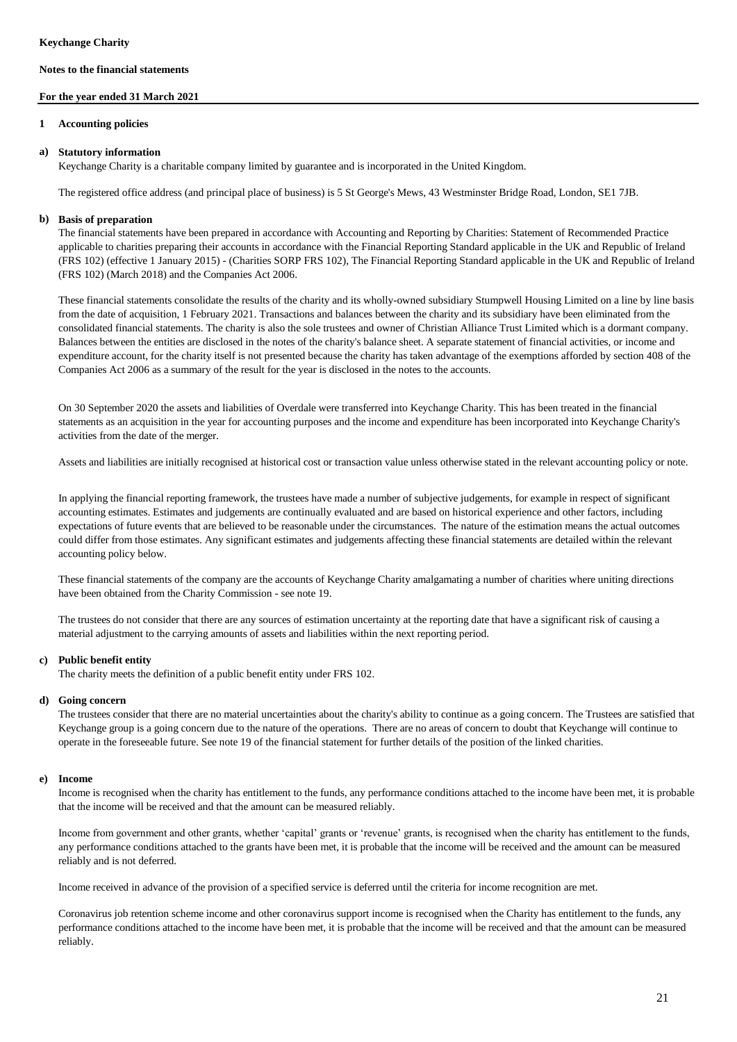#### **For the year ended 31 March 2021**

#### **1 Accounting policies**

#### **a) Statutory information**

Keychange Charity is a charitable company limited by guarantee and is incorporated in the United Kingdom.

The registered office address (and principal place of business) is 5 St George's Mews, 43 Westminster Bridge Road, London, SE1 7JB.

### **b) Basis of preparation**

The financial statements have been prepared in accordance with Accounting and Reporting by Charities: Statement of Recommended Practice applicable to charities preparing their accounts in accordance with the Financial Reporting Standard applicable in the UK and Republic of Ireland (FRS 102) (effective 1 January 2015) - (Charities SORP FRS 102), The Financial Reporting Standard applicable in the UK and Republic of Ireland (FRS 102) (March 2018) and the Companies Act 2006.

These financial statements consolidate the results of the charity and its wholly-owned subsidiary Stumpwell Housing Limited on a line by line basis from the date of acquisition, 1 February 2021. Transactions and balances between the charity and its subsidiary have been eliminated from the consolidated financial statements. The charity is also the sole trustees and owner of Christian Alliance Trust Limited which is a dormant company. Balances between the entities are disclosed in the notes of the charity's balance sheet. A separate statement of financial activities, or income and expenditure account, for the charity itself is not presented because the charity has taken advantage of the exemptions afforded by section 408 of the Companies Act 2006 as a summary of the result for the year is disclosed in the notes to the accounts.

On 30 September 2020 the assets and liabilities of Overdale were transferred into Keychange Charity. This has been treated in the financial statements as an acquisition in the year for accounting purposes and the income and expenditure has been incorporated into Keychange Charity's activities from the date of the merger.

Assets and liabilities are initially recognised at historical cost or transaction value unless otherwise stated in the relevant accounting policy or note.

In applying the financial reporting framework, the trustees have made a number of subjective judgements, for example in respect of significant accounting estimates. Estimates and judgements are continually evaluated and are based on historical experience and other factors, including expectations of future events that are believed to be reasonable under the circumstances. The nature of the estimation means the actual outcomes could differ from those estimates. Any significant estimates and judgements affecting these financial statements are detailed within the relevant accounting policy below.

These financial statements of the company are the accounts of Keychange Charity amalgamating a number of charities where uniting directions have been obtained from the Charity Commission - see note 19.

The trustees do not consider that there are any sources of estimation uncertainty at the reporting date that have a significant risk of causing a material adjustment to the carrying amounts of assets and liabilities within the next reporting period.

#### **c) Public benefit entity**

The charity meets the definition of a public benefit entity under FRS 102.

#### **d) Going concern**

The trustees consider that there are no material uncertainties about the charity's ability to continue as a going concern. The Trustees are satisfied that Keychange group is a going concern due to the nature of the operations. There are no areas of concern to doubt that Keychange will continue to operate in the foreseeable future. See note 19 of the financial statement for further details of the position of the linked charities.

#### **e) Income**

Income is recognised when the charity has entitlement to the funds, any performance conditions attached to the income have been met, it is probable that the income will be received and that the amount can be measured reliably.

Income from government and other grants, whether 'capital' grants or 'revenue' grants, is recognised when the charity has entitlement to the funds, any performance conditions attached to the grants have been met, it is probable that the income will be received and the amount can be measured reliably and is not deferred.

Income received in advance of the provision of a specified service is deferred until the criteria for income recognition are met.

Coronavirus job retention scheme income and other coronavirus support income is recognised when the Charity has entitlement to the funds, any performance conditions attached to the income have been met, it is probable that the income will be received and that the amount can be measured reliably.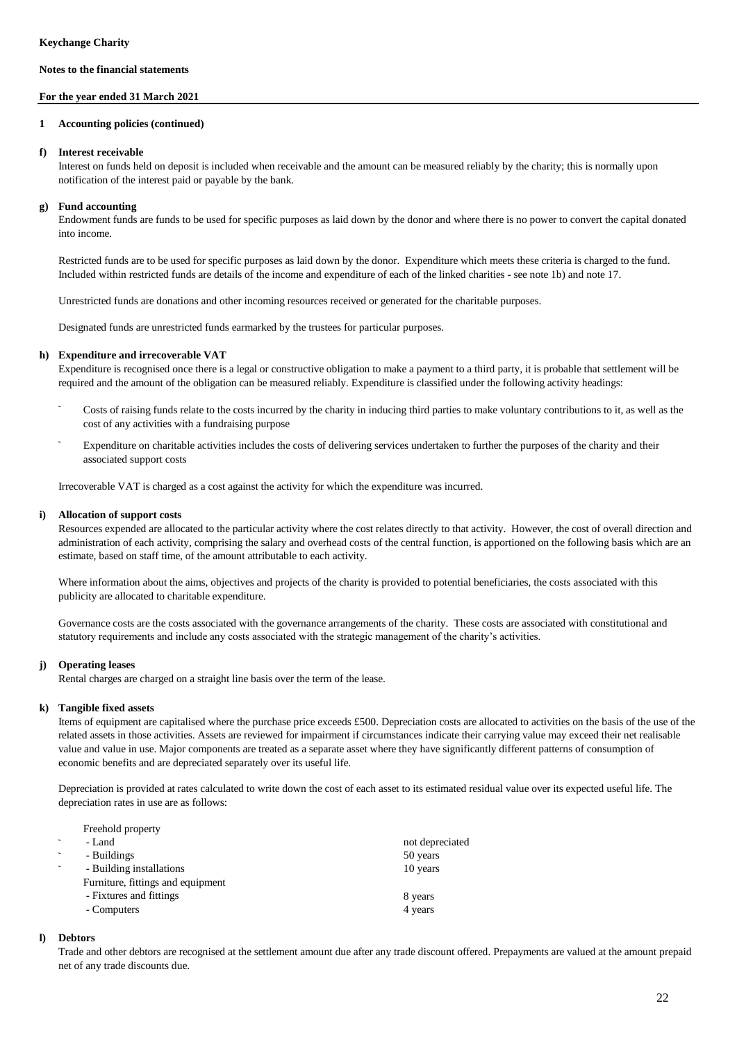#### **For the year ended 31 March 2021**

#### **1 Accounting policies (continued)**

#### **f) Interest receivable**

Interest on funds held on deposit is included when receivable and the amount can be measured reliably by the charity; this is normally upon notification of the interest paid or payable by the bank.

#### **g) Fund accounting**

Endowment funds are funds to be used for specific purposes as laid down by the donor and where there is no power to convert the capital donated into income.

Restricted funds are to be used for specific purposes as laid down by the donor. Expenditure which meets these criteria is charged to the fund. Included within restricted funds are details of the income and expenditure of each of the linked charities - see note 1b) and note 17.

Unrestricted funds are donations and other incoming resources received or generated for the charitable purposes.

Designated funds are unrestricted funds earmarked by the trustees for particular purposes.

#### **h) Expenditure and irrecoverable VAT**

Expenditure is recognised once there is a legal or constructive obligation to make a payment to a third party, it is probable that settlement will be required and the amount of the obligation can be measured reliably. Expenditure is classified under the following activity headings:

- ˜ Costs of raising funds relate to the costs incurred by the charity in inducing third parties to make voluntary contributions to it, as well as the cost of any activities with a fundraising purpose
- ˜ Expenditure on charitable activities includes the costs of delivering services undertaken to further the purposes of the charity and their associated support costs

Irrecoverable VAT is charged as a cost against the activity for which the expenditure was incurred.

#### **i) Allocation of support costs**

Resources expended are allocated to the particular activity where the cost relates directly to that activity. However, the cost of overall direction and administration of each activity, comprising the salary and overhead costs of the central function, is apportioned on the following basis which are an estimate, based on staff time, of the amount attributable to each activity.

Where information about the aims, objectives and projects of the charity is provided to potential beneficiaries, the costs associated with this publicity are allocated to charitable expenditure.

Governance costs are the costs associated with the governance arrangements of the charity. These costs are associated with constitutional and statutory requirements and include any costs associated with the strategic management of the charity's activities.

#### **j) Operating leases**

Rental charges are charged on a straight line basis over the term of the lease.

#### **k) Tangible fixed assets**

Items of equipment are capitalised where the purchase price exceeds £500. Depreciation costs are allocated to activities on the basis of the use of the related assets in those activities. Assets are reviewed for impairment if circumstances indicate their carrying value may exceed their net realisable value and value in use. Major components are treated as a separate asset where they have significantly different patterns of consumption of economic benefits and are depreciated separately over its useful life.

Depreciation is provided at rates calculated to write down the cost of each asset to its estimated residual value over its expected useful life. The depreciation rates in use are as follows:

| Freehold property                 |                 |
|-----------------------------------|-----------------|
| - Land                            | not depreciated |
| - Buildings                       | 50 years        |
| - Building installations          | 10 years        |
| Furniture, fittings and equipment |                 |
| - Fixtures and fittings           | 8 years         |
| - Computers                       | 4 years         |
|                                   |                 |

#### **l) Debtors**

Trade and other debtors are recognised at the settlement amount due after any trade discount offered. Prepayments are valued at the amount prepaid net of any trade discounts due.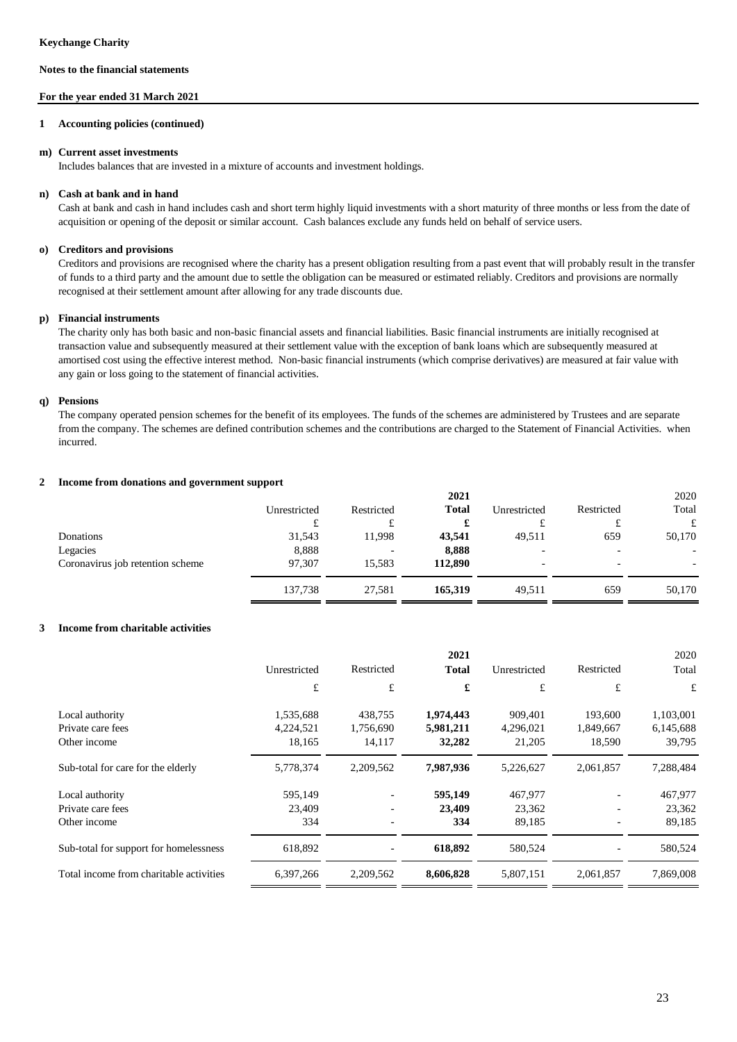#### **For the year ended 31 March 2021**

#### **1 Accounting policies (continued)**

#### **m) Current asset investments**

Includes balances that are invested in a mixture of accounts and investment holdings.

### **n) Cash at bank and in hand**

Cash at bank and cash in hand includes cash and short term highly liquid investments with a short maturity of three months or less from the date of acquisition or opening of the deposit or similar account. Cash balances exclude any funds held on behalf of service users.

### **o) Creditors and provisions**

Creditors and provisions are recognised where the charity has a present obligation resulting from a past event that will probably result in the transfer of funds to a third party and the amount due to settle the obligation can be measured or estimated reliably. Creditors and provisions are normally recognised at their settlement amount after allowing for any trade discounts due.

#### **p) Financial instruments**

The charity only has both basic and non-basic financial assets and financial liabilities. Basic financial instruments are initially recognised at transaction value and subsequently measured at their settlement value with the exception of bank loans which are subsequently measured at amortised cost using the effective interest method. Non-basic financial instruments (which comprise derivatives) are measured at fair value with any gain or loss going to the statement of financial activities.

#### **q) Pensions**

The company operated pension schemes for the benefit of its employees. The funds of the schemes are administered by Trustees and are separate from the company. The schemes are defined contribution schemes and the contributions are charged to the Statement of Financial Activities. when incurred.

#### **2 Income from donations and government support**

|                                  |              |                          | 2021         |                          |                | 2020                     |
|----------------------------------|--------------|--------------------------|--------------|--------------------------|----------------|--------------------------|
|                                  | Unrestricted | Restricted               | <b>Total</b> | Unrestricted             | Restricted     | Total                    |
|                                  | £<br>ı       |                          | £            |                          | t              | £                        |
| Donations                        | 31,543       | 11,998                   | 43,541       | 49,511                   | 659            | 50,170                   |
| Legacies                         | 8,888        | $\overline{\phantom{0}}$ | 8,888        | $\overline{\phantom{a}}$ | $\overline{a}$ | $\overline{\phantom{a}}$ |
| Coronavirus job retention scheme | 97.307       | 15.583                   | 112,890      | $\overline{\phantom{a}}$ | $\overline{a}$ | $\overline{\phantom{0}}$ |
|                                  | 137,738      | 27,581                   | 165,319      | 49,511                   | 659            | 50,170                   |

#### **3 Income from charitable activities**

|                                         |              |            | 2021         |              |            | 2020      |
|-----------------------------------------|--------------|------------|--------------|--------------|------------|-----------|
|                                         | Unrestricted | Restricted | <b>Total</b> | Unrestricted | Restricted | Total     |
|                                         | £            | £          | £            | £            | £          | £         |
| Local authority                         | 1,535,688    | 438,755    | 1,974,443    | 909.401      | 193,600    | 1,103,001 |
| Private care fees                       | 4,224,521    | 1,756,690  | 5,981,211    | 4,296,021    | 1,849,667  | 6,145,688 |
| Other income                            | 18,165       | 14,117     | 32,282       | 21,205       | 18,590     | 39,795    |
| Sub-total for care for the elderly      | 5,778,374    | 2,209,562  | 7,987,936    | 5,226,627    | 2,061,857  | 7,288,484 |
| Local authority                         | 595,149      |            | 595,149      | 467,977      |            | 467,977   |
| Private care fees                       | 23,409       |            | 23,409       | 23,362       |            | 23,362    |
| Other income                            | 334          |            | 334          | 89,185       |            | 89,185    |
| Sub-total for support for homelessness  | 618,892      |            | 618,892      | 580,524      |            | 580,524   |
| Total income from charitable activities | 6,397,266    | 2,209,562  | 8,606,828    | 5,807,151    | 2,061,857  | 7,869,008 |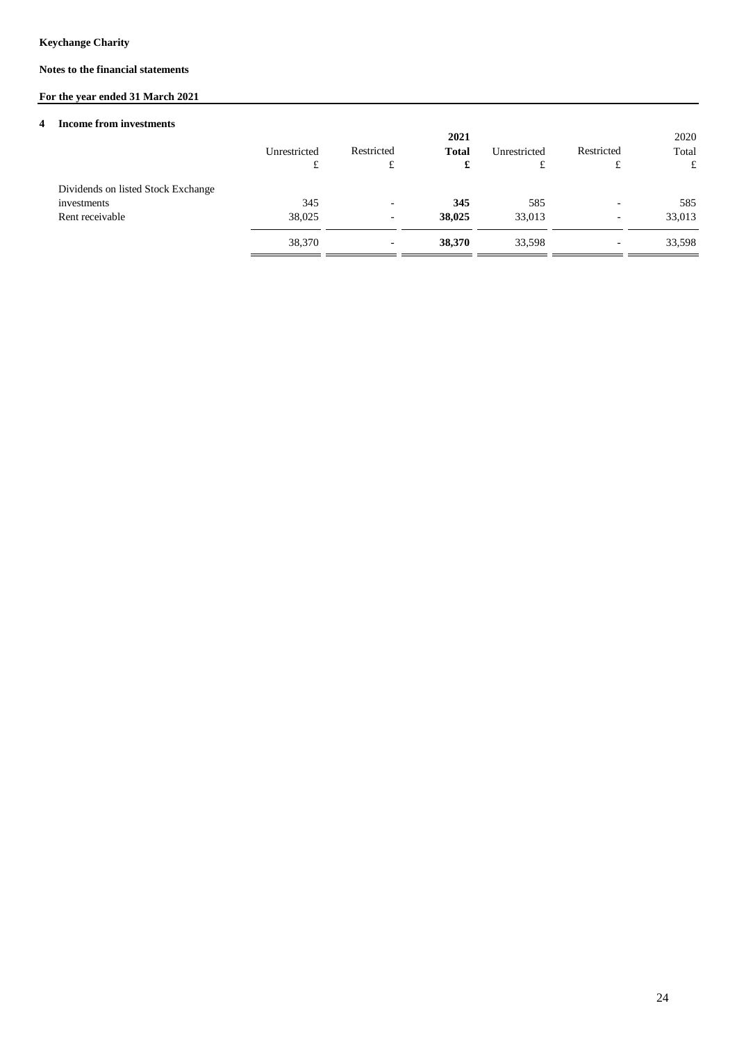## **Notes to the financial statements**

# **For the year ended 31 March 2021**

#### **4 Income from investments**

|                                                                      | Unrestricted<br>£ | Restricted<br>£                                      | 2021<br><b>Total</b><br>£ | Unrestricted<br>£ | Restricted<br>£               | 2020<br>Total<br>£ |
|----------------------------------------------------------------------|-------------------|------------------------------------------------------|---------------------------|-------------------|-------------------------------|--------------------|
| Dividends on listed Stock Exchange<br>investments<br>Rent receivable | 345<br>38,025     | $\overline{\phantom{a}}$                             | 345<br>38,025             | 585<br>33,013     | $\overline{\phantom{a}}$      | 585<br>33,013      |
|                                                                      | 38,370            | $\overline{\phantom{0}}$<br>$\overline{\phantom{a}}$ | 38,370                    | 33,598            | -<br>$\overline{\phantom{a}}$ | 33,598             |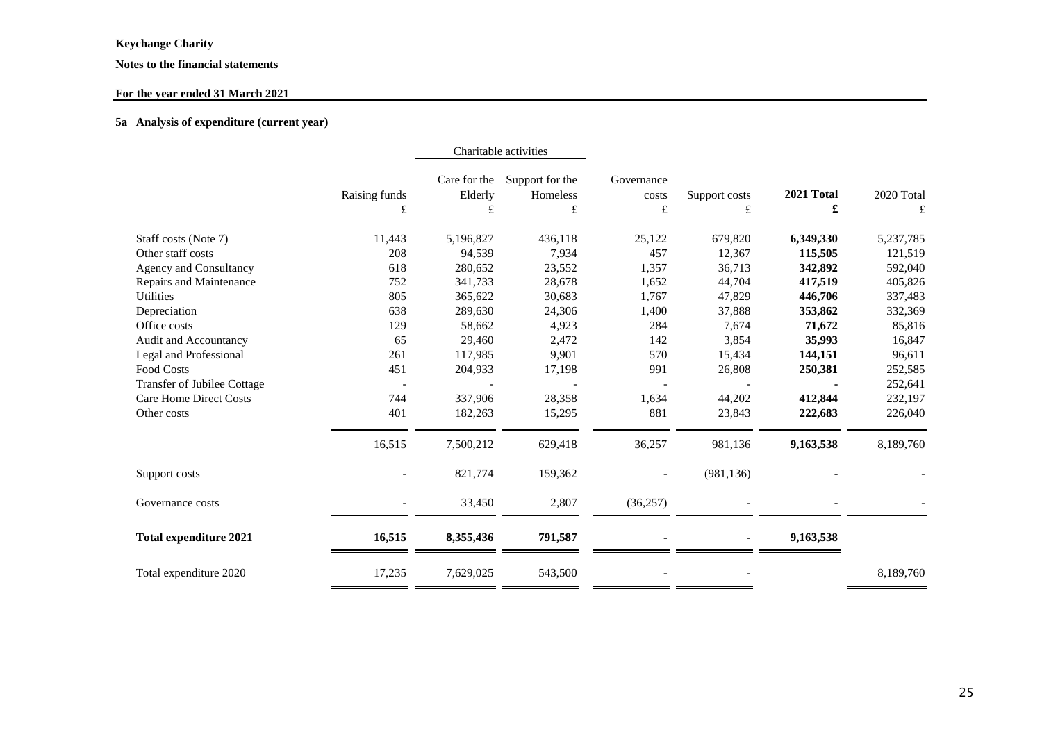## **Notes to the financial statements**

## **For the year ended 31 March 2021**

### **5a Analysis of expenditure (current year)**

|                                    |               | Charitable activities   |                             |                     |               |            |             |
|------------------------------------|---------------|-------------------------|-----------------------------|---------------------|---------------|------------|-------------|
|                                    | Raising funds | Care for the<br>Elderly | Support for the<br>Homeless | Governance<br>costs | Support costs | 2021 Total | 2020 Total  |
|                                    | £             | £                       | $\pounds$                   | £                   | £             | £          | $\mathbf f$ |
| Staff costs (Note 7)               | 11,443        | 5,196,827               | 436,118                     | 25,122              | 679,820       | 6,349,330  | 5,237,785   |
| Other staff costs                  | 208           | 94,539                  | 7,934                       | 457                 | 12,367        | 115,505    | 121,519     |
| Agency and Consultancy             | 618           | 280,652                 | 23,552                      | 1,357               | 36,713        | 342,892    | 592,040     |
| Repairs and Maintenance            | 752           | 341,733                 | 28,678                      | 1,652               | 44,704        | 417,519    | 405,826     |
| Utilities                          | 805           | 365,622                 | 30,683                      | 1,767               | 47,829        | 446,706    | 337,483     |
| Depreciation                       | 638           | 289,630                 | 24,306                      | 1,400               | 37,888        | 353,862    | 332,369     |
| Office costs                       | 129           | 58,662                  | 4,923                       | 284                 | 7,674         | 71,672     | 85,816      |
| Audit and Accountancy              | 65            | 29,460                  | 2,472                       | 142                 | 3,854         | 35,993     | 16,847      |
| Legal and Professional             | 261           | 117,985                 | 9,901                       | 570                 | 15,434        | 144,151    | 96,611      |
| Food Costs                         | 451           | 204,933                 | 17,198                      | 991                 | 26,808        | 250,381    | 252,585     |
| <b>Transfer of Jubilee Cottage</b> |               |                         |                             |                     |               |            | 252,641     |
| <b>Care Home Direct Costs</b>      | 744           | 337,906                 | 28,358                      | 1,634               | 44,202        | 412,844    | 232,197     |
| Other costs                        | 401           | 182,263                 | 15,295                      | 881                 | 23,843        | 222,683    | 226,040     |
|                                    | 16,515        | 7,500,212               | 629,418                     | 36,257              | 981,136       | 9,163,538  | 8,189,760   |
| Support costs                      |               | 821,774                 | 159,362                     |                     | (981, 136)    |            |             |
| Governance costs                   |               | 33,450                  | 2,807                       | (36, 257)           |               |            |             |
| <b>Total expenditure 2021</b>      | 16,515        | 8,355,436               | 791,587                     |                     |               | 9,163,538  |             |
| Total expenditure 2020             | 17,235        | 7,629,025               | 543,500                     |                     |               |            | 8,189,760   |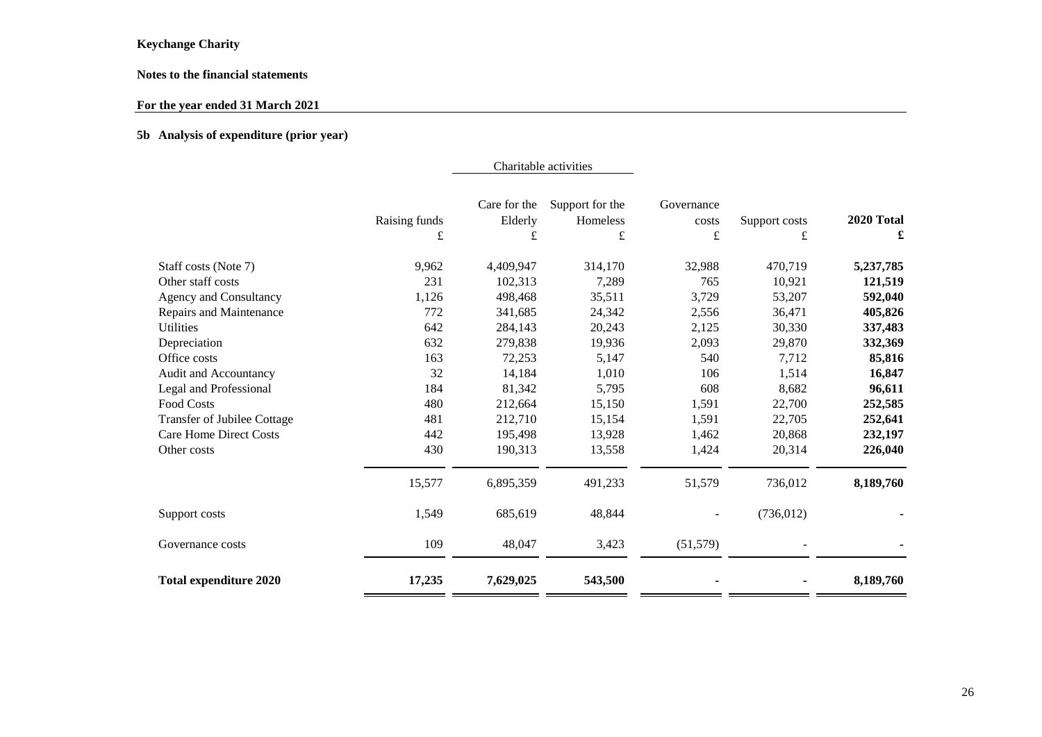## **Notes to the financial statements**

## **For the year ended 31 March 2021**

## **5b Analysis of expenditure (prior year)**

|                               |               | Care for the | Support for the | Governance  |               |            |
|-------------------------------|---------------|--------------|-----------------|-------------|---------------|------------|
|                               | Raising funds | Elderly      | Homeless        | costs       | Support costs | 2020 Total |
|                               | £             | £            | £               | $\mathbf f$ | £             | £          |
| Staff costs (Note 7)          | 9,962         | 4,409,947    | 314,170         | 32,988      | 470,719       | 5,237,785  |
| Other staff costs             | 231           | 102,313      | 7,289           | 765         | 10,921        | 121,519    |
| <b>Agency and Consultancy</b> | 1,126         | 498,468      | 35,511          | 3,729       | 53,207        | 592,040    |
| Repairs and Maintenance       | 772           | 341,685      | 24,342          | 2,556       | 36,471        | 405,826    |
| <b>Utilities</b>              | 642           | 284,143      | 20,243          | 2,125       | 30,330        | 337,483    |
| Depreciation                  | 632           | 279,838      | 19,936          | 2,093       | 29,870        | 332,369    |
| Office costs                  | 163           | 72,253       | 5,147           | 540         | 7,712         | 85,816     |
| Audit and Accountancy         | 32            | 14,184       | 1,010           | 106         | 1,514         | 16,847     |
| Legal and Professional        | 184           | 81,342       | 5,795           | 608         | 8,682         | 96,611     |
| <b>Food Costs</b>             | 480           | 212,664      | 15,150          | 1,591       | 22,700        | 252,585    |
| Transfer of Jubilee Cottage   | 481           | 212,710      | 15,154          | 1,591       | 22,705        | 252,641    |
| <b>Care Home Direct Costs</b> | 442           | 195,498      | 13,928          | 1,462       | 20,868        | 232,197    |
| Other costs                   | 430           | 190,313      | 13,558          | 1,424       | 20,314        | 226,040    |
|                               | 15,577        | 6,895,359    | 491,233         | 51,579      | 736,012       | 8,189,760  |
| Support costs                 | 1,549         | 685,619      | 48,844          |             | (736, 012)    |            |
| Governance costs              | 109           | 48,047       | 3,423           | (51, 579)   |               |            |
| <b>Total expenditure 2020</b> | 17,235        | 7,629,025    | 543,500         |             |               | 8,189,760  |

Charitable activities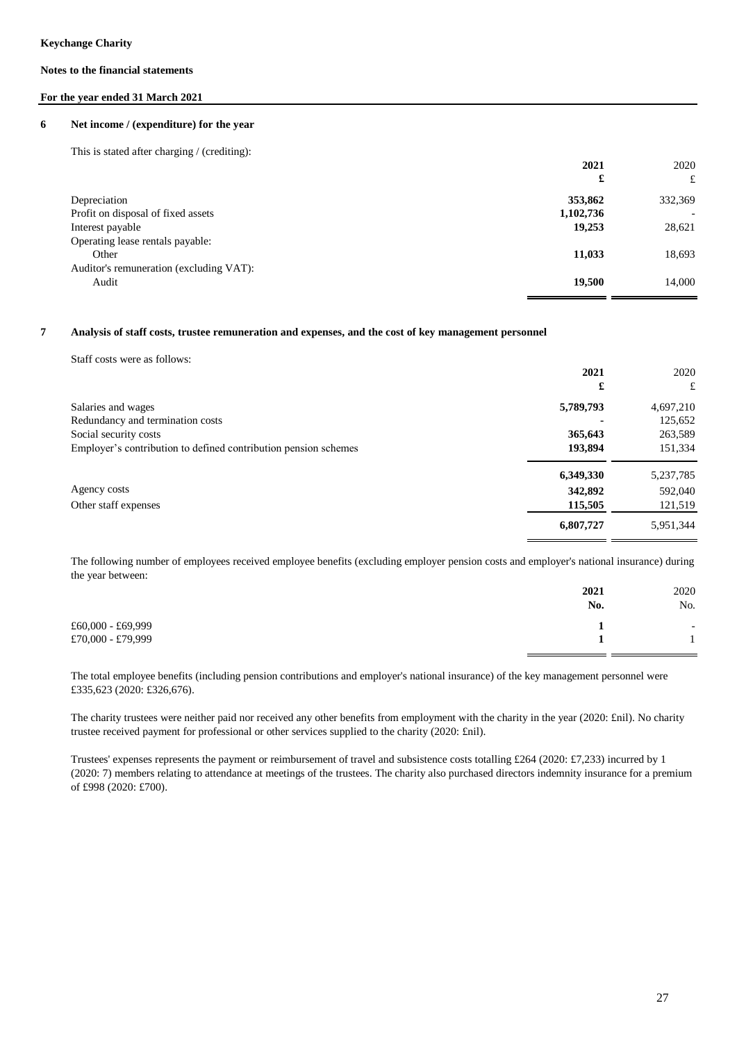## **For the year ended 31 March 2021**

#### **6 Net income / (expenditure) for the year**

This is stated after charging / (crediting):

|                                         | 2021      | 2020                     |
|-----------------------------------------|-----------|--------------------------|
|                                         | £         | £                        |
| Depreciation                            | 353,862   | 332,369                  |
| Profit on disposal of fixed assets      | 1,102,736 | $\overline{\phantom{0}}$ |
| Interest payable                        | 19,253    | 28,621                   |
| Operating lease rentals payable:        |           |                          |
| Other                                   | 11,033    | 18,693                   |
| Auditor's remuneration (excluding VAT): |           |                          |
| Audit                                   | 19,500    | 14.000                   |

#### **7 Analysis of staff costs, trustee remuneration and expenses, and the cost of key management personnel**

|                                                                 | 2021      | 2020        |
|-----------------------------------------------------------------|-----------|-------------|
|                                                                 | £         | £           |
| Salaries and wages                                              | 5,789,793 | 4,697,210   |
| Redundancy and termination costs                                |           | 125,652     |
| Social security costs                                           | 365,643   | 263,589     |
| Employer's contribution to defined contribution pension schemes | 193,894   | 151,334     |
|                                                                 | 6,349,330 | 5, 237, 785 |
| Agency costs                                                    | 342,892   | 592,040     |
| Other staff expenses                                            | 115,505   | 121,519     |
|                                                                 | 6,807,727 | 5,951,344   |

The following number of employees received employee benefits (excluding employer pension costs and employer's national insurance) during the year between:

|                     | 2021 | 2020                     |
|---------------------|------|--------------------------|
|                     | No.  | No.                      |
| $£60,000 - £69,999$ |      | $\overline{\phantom{a}}$ |
| £70,000 - £79,999   |      |                          |
|                     |      |                          |

The total employee benefits (including pension contributions and employer's national insurance) of the key management personnel were £335,623 (2020: £326,676).

The charity trustees were neither paid nor received any other benefits from employment with the charity in the year (2020: £nil). No charity trustee received payment for professional or other services supplied to the charity (2020: £nil).

Trustees' expenses represents the payment or reimbursement of travel and subsistence costs totalling £264 (2020: £7,233) incurred by 1 (2020: 7) members relating to attendance at meetings of the trustees. The charity also purchased directors indemnity insurance for a premium of £998 (2020: £700).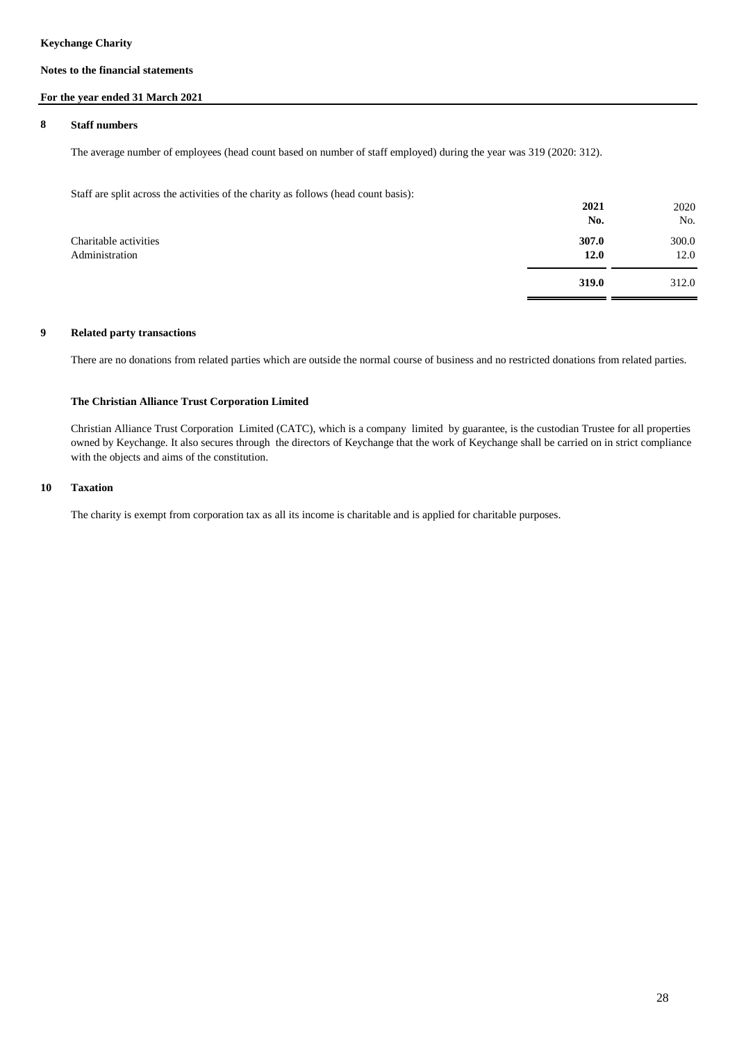## **Notes to the financial statements**

## **For the year ended 31 March 2021**

### **8 Staff numbers**

The average number of employees (head count based on number of staff employed) during the year was 319 (2020: 312).

Staff are split across the activities of the charity as follows (head count basis):

|                                         | 2021<br>No.   | 2020<br>No.   |
|-----------------------------------------|---------------|---------------|
| Charitable activities<br>Administration | 307.0<br>12.0 | 300.0<br>12.0 |
|                                         | 319.0         | 312.0         |

## **9 Related party transactions**

There are no donations from related parties which are outside the normal course of business and no restricted donations from related parties.

### **The Christian Alliance Trust Corporation Limited**

Christian Alliance Trust Corporation Limited (CATC), which is a company limited by guarantee, is the custodian Trustee for all properties owned by Keychange. It also secures through the directors of Keychange that the work of Keychange shall be carried on in strict compliance with the objects and aims of the constitution.

#### **10 Taxation**

The charity is exempt from corporation tax as all its income is charitable and is applied for charitable purposes.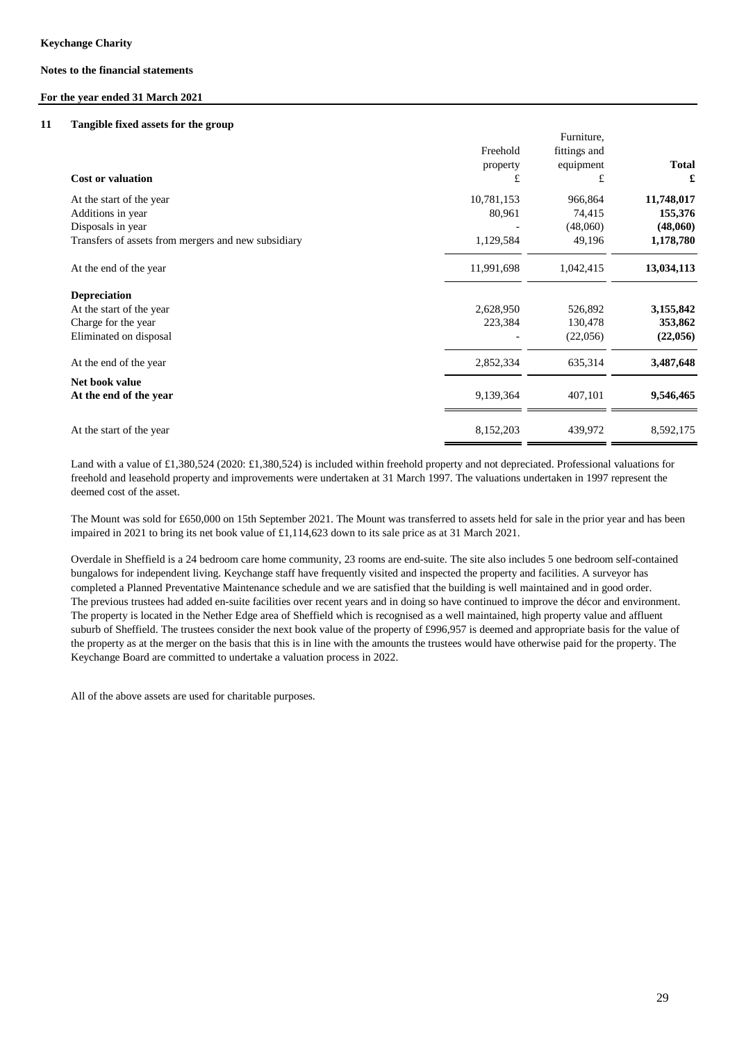### **For the year ended 31 March 2021**

#### **11 Tangible fixed assets for the group**

|                                                     |            | Furniture,   |              |
|-----------------------------------------------------|------------|--------------|--------------|
|                                                     | Freehold   | fittings and |              |
|                                                     | property   | equipment    | <b>Total</b> |
| <b>Cost or valuation</b>                            | £          | £            | £            |
| At the start of the year                            | 10,781,153 | 966,864      | 11,748,017   |
| Additions in year                                   | 80,961     | 74,415       | 155,376      |
| Disposals in year                                   |            | (48,060)     | (48,060)     |
| Transfers of assets from mergers and new subsidiary | 1,129,584  | 49,196       | 1,178,780    |
| At the end of the year                              | 11,991,698 | 1,042,415    | 13,034,113   |
| <b>Depreciation</b>                                 |            |              |              |
| At the start of the year                            | 2,628,950  | 526,892      | 3,155,842    |
| Charge for the year                                 | 223,384    | 130,478      | 353,862      |
| Eliminated on disposal                              |            | (22,056)     | (22,056)     |
| At the end of the year                              | 2,852,334  | 635,314      | 3,487,648    |
| Net book value                                      |            |              |              |
| At the end of the year                              | 9,139,364  | 407,101      | 9,546,465    |
|                                                     |            |              |              |
| At the start of the year                            | 8,152,203  | 439,972      | 8,592,175    |

Land with a value of £1,380,524 (2020: £1,380,524) is included within freehold property and not depreciated. Professional valuations for freehold and leasehold property and improvements were undertaken at 31 March 1997. The valuations undertaken in 1997 represent the deemed cost of the asset.

The Mount was sold for £650,000 on 15th September 2021. The Mount was transferred to assets held for sale in the prior year and has been impaired in 2021 to bring its net book value of £1,114,623 down to its sale price as at 31 March 2021.

Overdale in Sheffield is a 24 bedroom care home community, 23 rooms are end-suite. The site also includes 5 one bedroom self-contained bungalows for independent living. Keychange staff have frequently visited and inspected the property and facilities. A surveyor has completed a Planned Preventative Maintenance schedule and we are satisfied that the building is well maintained and in good order. The previous trustees had added en-suite facilities over recent years and in doing so have continued to improve the décor and environment. The property is located in the Nether Edge area of Sheffield which is recognised as a well maintained, high property value and affluent suburb of Sheffield. The trustees consider the next book value of the property of £996,957 is deemed and appropriate basis for the value of the property as at the merger on the basis that this is in line with the amounts the trustees would have otherwise paid for the property. The Keychange Board are committed to undertake a valuation process in 2022.

All of the above assets are used for charitable purposes.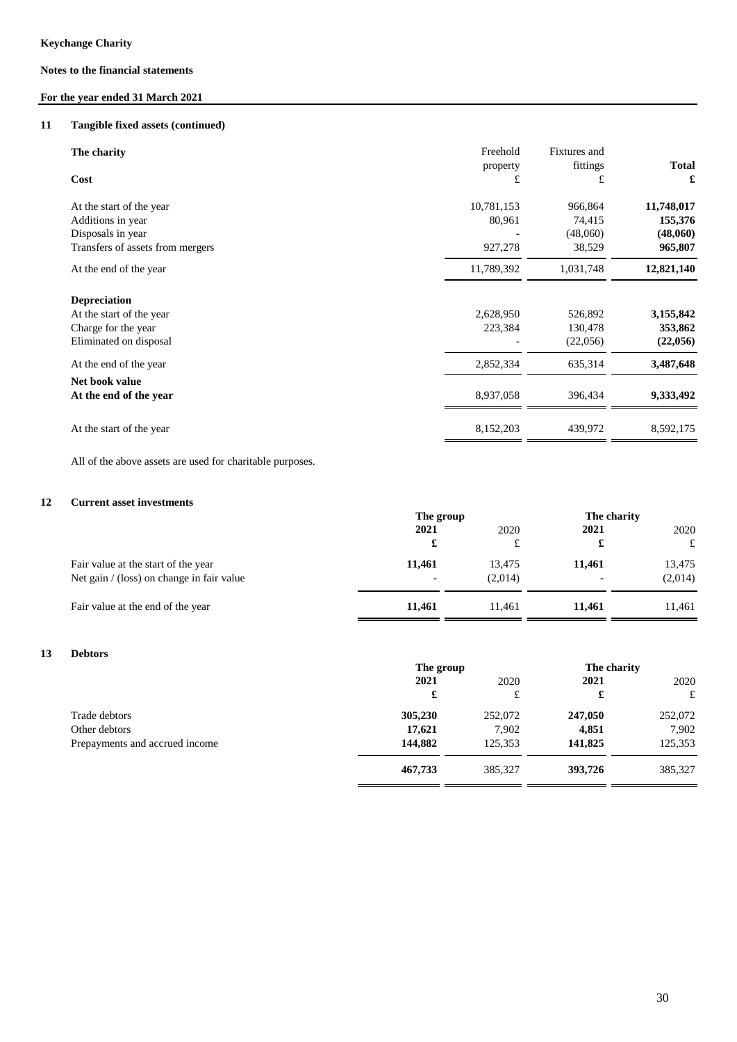## **For the year ended 31 March 2021**

#### **11 Tangible fixed assets (continued)**

| The charity<br>Cost                                                                                    | Freehold<br>property<br>£       | Fixtures and<br>fittings<br>£           | <b>Total</b><br>£                            |
|--------------------------------------------------------------------------------------------------------|---------------------------------|-----------------------------------------|----------------------------------------------|
| At the start of the year<br>Additions in year<br>Disposals in year<br>Transfers of assets from mergers | 10,781,153<br>80,961<br>927,278 | 966,864<br>74,415<br>(48,060)<br>38,529 | 11,748,017<br>155,376<br>(48,060)<br>965,807 |
| At the end of the year                                                                                 | 11,789,392                      | 1,031,748                               | 12,821,140                                   |
| <b>Depreciation</b><br>At the start of the year<br>Charge for the year<br>Eliminated on disposal       | 2,628,950<br>223,384            | 526,892<br>130,478<br>(22,056)          | 3,155,842<br>353,862<br>(22,056)             |
| At the end of the year                                                                                 | 2,852,334                       | 635,314                                 | 3,487,648                                    |
| Net book value<br>At the end of the year                                                               | 8,937,058                       | 396,434                                 | 9,333,492                                    |
| At the start of the year                                                                               | 8,152,203                       | 439,972                                 | 8,592,175                                    |

All of the above assets are used for charitable purposes.

#### **12 Current asset investments**

|                                                                                  | The group    |                   | The charity      |                   |
|----------------------------------------------------------------------------------|--------------|-------------------|------------------|-------------------|
|                                                                                  | 2021<br>£    | 2020<br>£         | 2021             | 2020<br>£         |
| Fair value at the start of the year<br>Net gain / (loss) on change in fair value | 11,461<br>ж. | 13.475<br>(2,014) | 11.461<br>$\sim$ | 13,475<br>(2,014) |
| Fair value at the end of the year                                                | 11,461       | 11.461            | 11.461           | 11,461            |
|                                                                                  |              |                   |                  |                   |

## **13 Debtors**

|                                | The group |         | The charity |         |
|--------------------------------|-----------|---------|-------------|---------|
|                                | 2021      | 2020    | 2021        | 2020    |
|                                | £         | £       | £           | £       |
| Trade debtors                  | 305,230   | 252,072 | 247,050     | 252,072 |
| Other debtors                  | 17,621    | 7,902   | 4,851       | 7,902   |
| Prepayments and accrued income | 144,882   | 125,353 | 141,825     | 125,353 |
|                                | 467,733   | 385,327 | 393,726     | 385,327 |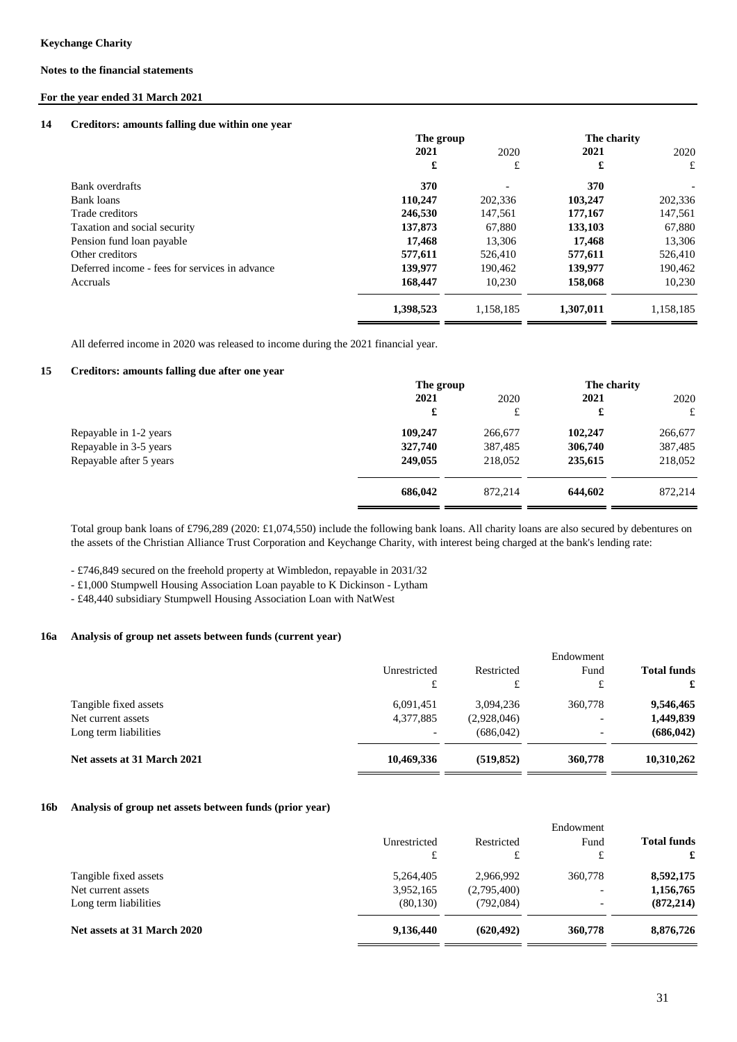## **For the year ended 31 March 2021**

## **14 Creditors: amounts falling due within one year**

|                                                | The group |                          | The charity |           |
|------------------------------------------------|-----------|--------------------------|-------------|-----------|
|                                                | 2021      | 2020                     | 2021        | 2020      |
|                                                | £         | £                        | £           | £         |
| Bank overdrafts                                | 370       | $\overline{\phantom{a}}$ | 370         |           |
| Bank loans                                     | 110,247   | 202,336                  | 103,247     | 202,336   |
| Trade creditors                                | 246,530   | 147,561                  | 177,167     | 147,561   |
| Taxation and social security                   | 137,873   | 67.880                   | 133,103     | 67,880    |
| Pension fund loan payable                      | 17.468    | 13.306                   | 17.468      | 13,306    |
| Other creditors                                | 577,611   | 526,410                  | 577,611     | 526,410   |
| Deferred income - fees for services in advance | 139,977   | 190.462                  | 139,977     | 190.462   |
| Accruals                                       | 168,447   | 10.230                   | 158,068     | 10,230    |
|                                                | 1,398,523 | 1,158,185                | 1,307,011   | 1,158,185 |

All deferred income in 2020 was released to income during the 2021 financial year.

#### **15 Creditors: amounts falling due after one year**

|                         | The group |         | The charity |         |
|-------------------------|-----------|---------|-------------|---------|
|                         | 2021      | 2020    | 2021        | 2020    |
|                         | £         | £       | £           | £       |
| Repayable in 1-2 years  | 109,247   | 266,677 | 102,247     | 266,677 |
| Repayable in 3-5 years  | 327,740   | 387,485 | 306,740     | 387,485 |
| Repayable after 5 years | 249,055   | 218,052 | 235,615     | 218,052 |
|                         | 686,042   | 872.214 | 644.602     | 872,214 |

Total group bank loans of £796,289 (2020: £1,074,550) include the following bank loans. All charity loans are also secured by debentures on the assets of the Christian Alliance Trust Corporation and Keychange Charity, with interest being charged at the bank's lending rate:

- £746,849 secured on the freehold property at Wimbledon, repayable in 2031/32

- £1,000 Stumpwell Housing Association Loan payable to K Dickinson - Lytham

- £48,440 subsidiary Stumpwell Housing Association Loan with NatWest

#### **16a Analysis of group net assets between funds (current year)**

|                             |              |             | Endowment                |                    |
|-----------------------------|--------------|-------------|--------------------------|--------------------|
|                             | Unrestricted | Restricted  | Fund                     | <b>Total funds</b> |
|                             | £            | £           | £                        | £                  |
| Tangible fixed assets       | 6,091,451    | 3.094.236   | 360,778                  | 9,546,465          |
| Net current assets          | 4,377,885    | (2,928,046) | -                        | 1,449,839          |
| Long term liabilities       |              | (686, 042)  | $\overline{\phantom{a}}$ | (686, 042)         |
| Net assets at 31 March 2021 | 10,469,336   | (519, 852)  | 360,778                  | 10,310,262         |

#### **16b Analysis of group net assets between funds (prior year)**

|                             |              |             | Endowment                |                    |
|-----------------------------|--------------|-------------|--------------------------|--------------------|
|                             | Unrestricted | Restricted  | Fund                     | <b>Total funds</b> |
|                             | £            | £           | £                        | £                  |
| Tangible fixed assets       | 5,264,405    | 2,966,992   | 360,778                  | 8,592,175          |
| Net current assets          | 3,952,165    | (2,795,400) | $\overline{\phantom{a}}$ | 1,156,765          |
| Long term liabilities       | (80, 130)    | (792,084)   | $\overline{\phantom{0}}$ | (872, 214)         |
| Net assets at 31 March 2020 | 9,136,440    | (620, 492)  | 360,778                  | 8,876,726          |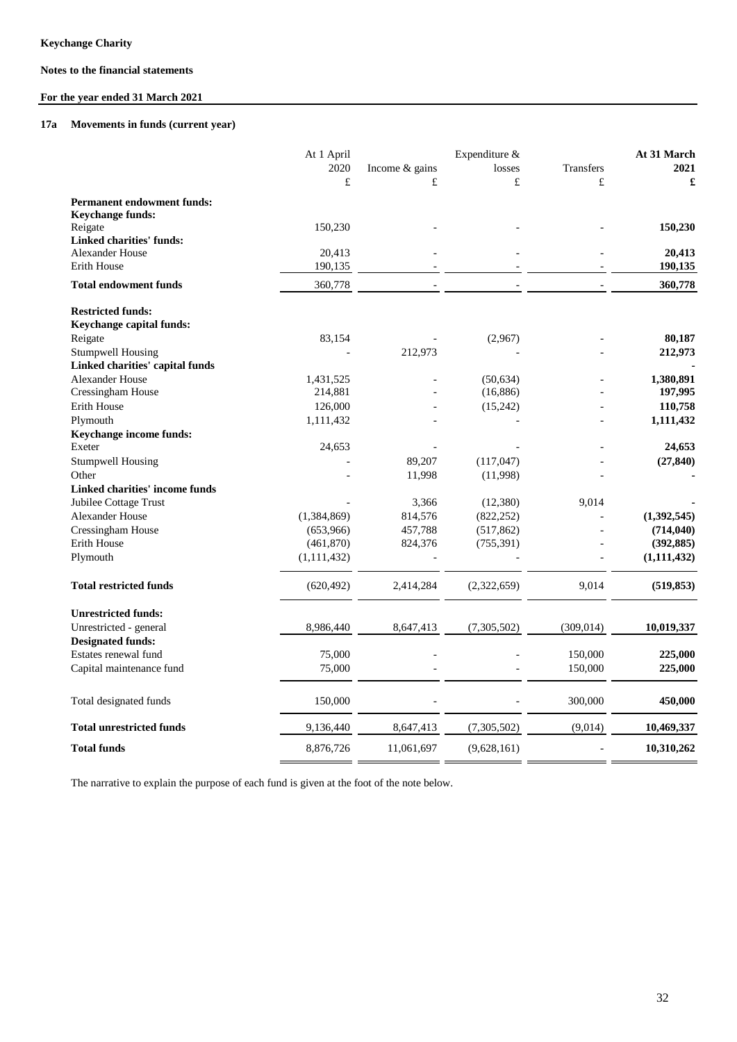# **For the year ended 31 March 2021**

#### **17a Movements in funds (current year)**

| 2021<br>2020<br>Income & gains<br>losses<br><b>Transfers</b><br>$\pounds$<br>$\pounds$<br>£<br>£<br>£<br><b>Permanent endowment funds:</b><br><b>Keychange funds:</b><br>150,230<br>150,230<br>Reigate<br><b>Linked charities' funds:</b><br><b>Alexander House</b><br>20,413<br>20,413<br>Erith House<br>190,135<br>190,135<br>360,778<br>360,778<br><b>Total endowment funds</b><br><b>Restricted funds:</b><br>Keychange capital funds:<br>Reigate<br>83,154<br>80,187<br>(2,967)<br><b>Stumpwell Housing</b><br>212,973<br>212,973<br>Linked charities' capital funds<br>Alexander House<br>1,380,891<br>1,431,525<br>(50, 634)<br>Cressingham House<br>(16, 886)<br>197,995<br>214,881<br>Erith House<br>126,000<br>(15, 242)<br>110,758<br>Plymouth<br>1,111,432<br>1,111,432<br>Keychange income funds:<br>Exeter<br>24,653<br>24,653<br>89,207<br><b>Stumpwell Housing</b><br>(117,047)<br>(27, 840)<br>Other<br>11,998<br>(11,998)<br>Linked charities' income funds<br>Jubilee Cottage Trust<br>3,366<br>9,014<br>(12,380)<br>Alexander House<br>(1,384,869)<br>814,576<br>(822, 252)<br>(1,392,545)<br>Cressingham House<br>(653,966)<br>457,788<br>(714, 040)<br>(517, 862)<br>Erith House<br>824,376<br>(461, 870)<br>(755, 391)<br>(392, 885)<br>Plymouth<br>(1, 111, 432)<br>(1, 111, 432)<br><b>Total restricted funds</b><br>(620, 492)<br>2,414,284<br>(2,322,659)<br>9,014<br>(519, 853)<br><b>Unrestricted funds:</b><br>8,986,440<br>Unrestricted - general<br>8,647,413<br>(7,305,502)<br>(309, 014)<br>10,019,337<br><b>Designated funds:</b><br>Estates renewal fund<br>75,000<br>150,000<br>225,000<br>75,000<br>150,000<br>225,000<br>Capital maintenance fund<br>150,000<br>300,000<br>450,000<br>Total designated funds<br><b>Total unrestricted funds</b><br>9,136,440<br>(7,305,502)<br>(9,014)<br>10,469,337<br>8,647,413<br><b>Total funds</b><br>8,876,726<br>11,061,697<br>(9,628,161)<br>10,310,262 | At 1 April | Expenditure & |  | At 31 March |  |
|----------------------------------------------------------------------------------------------------------------------------------------------------------------------------------------------------------------------------------------------------------------------------------------------------------------------------------------------------------------------------------------------------------------------------------------------------------------------------------------------------------------------------------------------------------------------------------------------------------------------------------------------------------------------------------------------------------------------------------------------------------------------------------------------------------------------------------------------------------------------------------------------------------------------------------------------------------------------------------------------------------------------------------------------------------------------------------------------------------------------------------------------------------------------------------------------------------------------------------------------------------------------------------------------------------------------------------------------------------------------------------------------------------------------------------------------------------------------------------------------------------------------------------------------------------------------------------------------------------------------------------------------------------------------------------------------------------------------------------------------------------------------------------------------------------------------------------------------------------------------------------------------------------------------------------------|------------|---------------|--|-------------|--|
|                                                                                                                                                                                                                                                                                                                                                                                                                                                                                                                                                                                                                                                                                                                                                                                                                                                                                                                                                                                                                                                                                                                                                                                                                                                                                                                                                                                                                                                                                                                                                                                                                                                                                                                                                                                                                                                                                                                                        |            |               |  |             |  |
|                                                                                                                                                                                                                                                                                                                                                                                                                                                                                                                                                                                                                                                                                                                                                                                                                                                                                                                                                                                                                                                                                                                                                                                                                                                                                                                                                                                                                                                                                                                                                                                                                                                                                                                                                                                                                                                                                                                                        |            |               |  |             |  |
|                                                                                                                                                                                                                                                                                                                                                                                                                                                                                                                                                                                                                                                                                                                                                                                                                                                                                                                                                                                                                                                                                                                                                                                                                                                                                                                                                                                                                                                                                                                                                                                                                                                                                                                                                                                                                                                                                                                                        |            |               |  |             |  |
|                                                                                                                                                                                                                                                                                                                                                                                                                                                                                                                                                                                                                                                                                                                                                                                                                                                                                                                                                                                                                                                                                                                                                                                                                                                                                                                                                                                                                                                                                                                                                                                                                                                                                                                                                                                                                                                                                                                                        |            |               |  |             |  |
|                                                                                                                                                                                                                                                                                                                                                                                                                                                                                                                                                                                                                                                                                                                                                                                                                                                                                                                                                                                                                                                                                                                                                                                                                                                                                                                                                                                                                                                                                                                                                                                                                                                                                                                                                                                                                                                                                                                                        |            |               |  |             |  |
|                                                                                                                                                                                                                                                                                                                                                                                                                                                                                                                                                                                                                                                                                                                                                                                                                                                                                                                                                                                                                                                                                                                                                                                                                                                                                                                                                                                                                                                                                                                                                                                                                                                                                                                                                                                                                                                                                                                                        |            |               |  |             |  |
|                                                                                                                                                                                                                                                                                                                                                                                                                                                                                                                                                                                                                                                                                                                                                                                                                                                                                                                                                                                                                                                                                                                                                                                                                                                                                                                                                                                                                                                                                                                                                                                                                                                                                                                                                                                                                                                                                                                                        |            |               |  |             |  |
|                                                                                                                                                                                                                                                                                                                                                                                                                                                                                                                                                                                                                                                                                                                                                                                                                                                                                                                                                                                                                                                                                                                                                                                                                                                                                                                                                                                                                                                                                                                                                                                                                                                                                                                                                                                                                                                                                                                                        |            |               |  |             |  |
|                                                                                                                                                                                                                                                                                                                                                                                                                                                                                                                                                                                                                                                                                                                                                                                                                                                                                                                                                                                                                                                                                                                                                                                                                                                                                                                                                                                                                                                                                                                                                                                                                                                                                                                                                                                                                                                                                                                                        |            |               |  |             |  |
|                                                                                                                                                                                                                                                                                                                                                                                                                                                                                                                                                                                                                                                                                                                                                                                                                                                                                                                                                                                                                                                                                                                                                                                                                                                                                                                                                                                                                                                                                                                                                                                                                                                                                                                                                                                                                                                                                                                                        |            |               |  |             |  |
|                                                                                                                                                                                                                                                                                                                                                                                                                                                                                                                                                                                                                                                                                                                                                                                                                                                                                                                                                                                                                                                                                                                                                                                                                                                                                                                                                                                                                                                                                                                                                                                                                                                                                                                                                                                                                                                                                                                                        |            |               |  |             |  |
|                                                                                                                                                                                                                                                                                                                                                                                                                                                                                                                                                                                                                                                                                                                                                                                                                                                                                                                                                                                                                                                                                                                                                                                                                                                                                                                                                                                                                                                                                                                                                                                                                                                                                                                                                                                                                                                                                                                                        |            |               |  |             |  |
|                                                                                                                                                                                                                                                                                                                                                                                                                                                                                                                                                                                                                                                                                                                                                                                                                                                                                                                                                                                                                                                                                                                                                                                                                                                                                                                                                                                                                                                                                                                                                                                                                                                                                                                                                                                                                                                                                                                                        |            |               |  |             |  |
|                                                                                                                                                                                                                                                                                                                                                                                                                                                                                                                                                                                                                                                                                                                                                                                                                                                                                                                                                                                                                                                                                                                                                                                                                                                                                                                                                                                                                                                                                                                                                                                                                                                                                                                                                                                                                                                                                                                                        |            |               |  |             |  |
|                                                                                                                                                                                                                                                                                                                                                                                                                                                                                                                                                                                                                                                                                                                                                                                                                                                                                                                                                                                                                                                                                                                                                                                                                                                                                                                                                                                                                                                                                                                                                                                                                                                                                                                                                                                                                                                                                                                                        |            |               |  |             |  |
|                                                                                                                                                                                                                                                                                                                                                                                                                                                                                                                                                                                                                                                                                                                                                                                                                                                                                                                                                                                                                                                                                                                                                                                                                                                                                                                                                                                                                                                                                                                                                                                                                                                                                                                                                                                                                                                                                                                                        |            |               |  |             |  |
|                                                                                                                                                                                                                                                                                                                                                                                                                                                                                                                                                                                                                                                                                                                                                                                                                                                                                                                                                                                                                                                                                                                                                                                                                                                                                                                                                                                                                                                                                                                                                                                                                                                                                                                                                                                                                                                                                                                                        |            |               |  |             |  |
|                                                                                                                                                                                                                                                                                                                                                                                                                                                                                                                                                                                                                                                                                                                                                                                                                                                                                                                                                                                                                                                                                                                                                                                                                                                                                                                                                                                                                                                                                                                                                                                                                                                                                                                                                                                                                                                                                                                                        |            |               |  |             |  |
|                                                                                                                                                                                                                                                                                                                                                                                                                                                                                                                                                                                                                                                                                                                                                                                                                                                                                                                                                                                                                                                                                                                                                                                                                                                                                                                                                                                                                                                                                                                                                                                                                                                                                                                                                                                                                                                                                                                                        |            |               |  |             |  |
|                                                                                                                                                                                                                                                                                                                                                                                                                                                                                                                                                                                                                                                                                                                                                                                                                                                                                                                                                                                                                                                                                                                                                                                                                                                                                                                                                                                                                                                                                                                                                                                                                                                                                                                                                                                                                                                                                                                                        |            |               |  |             |  |
|                                                                                                                                                                                                                                                                                                                                                                                                                                                                                                                                                                                                                                                                                                                                                                                                                                                                                                                                                                                                                                                                                                                                                                                                                                                                                                                                                                                                                                                                                                                                                                                                                                                                                                                                                                                                                                                                                                                                        |            |               |  |             |  |
|                                                                                                                                                                                                                                                                                                                                                                                                                                                                                                                                                                                                                                                                                                                                                                                                                                                                                                                                                                                                                                                                                                                                                                                                                                                                                                                                                                                                                                                                                                                                                                                                                                                                                                                                                                                                                                                                                                                                        |            |               |  |             |  |
|                                                                                                                                                                                                                                                                                                                                                                                                                                                                                                                                                                                                                                                                                                                                                                                                                                                                                                                                                                                                                                                                                                                                                                                                                                                                                                                                                                                                                                                                                                                                                                                                                                                                                                                                                                                                                                                                                                                                        |            |               |  |             |  |
|                                                                                                                                                                                                                                                                                                                                                                                                                                                                                                                                                                                                                                                                                                                                                                                                                                                                                                                                                                                                                                                                                                                                                                                                                                                                                                                                                                                                                                                                                                                                                                                                                                                                                                                                                                                                                                                                                                                                        |            |               |  |             |  |
|                                                                                                                                                                                                                                                                                                                                                                                                                                                                                                                                                                                                                                                                                                                                                                                                                                                                                                                                                                                                                                                                                                                                                                                                                                                                                                                                                                                                                                                                                                                                                                                                                                                                                                                                                                                                                                                                                                                                        |            |               |  |             |  |
|                                                                                                                                                                                                                                                                                                                                                                                                                                                                                                                                                                                                                                                                                                                                                                                                                                                                                                                                                                                                                                                                                                                                                                                                                                                                                                                                                                                                                                                                                                                                                                                                                                                                                                                                                                                                                                                                                                                                        |            |               |  |             |  |
|                                                                                                                                                                                                                                                                                                                                                                                                                                                                                                                                                                                                                                                                                                                                                                                                                                                                                                                                                                                                                                                                                                                                                                                                                                                                                                                                                                                                                                                                                                                                                                                                                                                                                                                                                                                                                                                                                                                                        |            |               |  |             |  |
|                                                                                                                                                                                                                                                                                                                                                                                                                                                                                                                                                                                                                                                                                                                                                                                                                                                                                                                                                                                                                                                                                                                                                                                                                                                                                                                                                                                                                                                                                                                                                                                                                                                                                                                                                                                                                                                                                                                                        |            |               |  |             |  |
|                                                                                                                                                                                                                                                                                                                                                                                                                                                                                                                                                                                                                                                                                                                                                                                                                                                                                                                                                                                                                                                                                                                                                                                                                                                                                                                                                                                                                                                                                                                                                                                                                                                                                                                                                                                                                                                                                                                                        |            |               |  |             |  |
|                                                                                                                                                                                                                                                                                                                                                                                                                                                                                                                                                                                                                                                                                                                                                                                                                                                                                                                                                                                                                                                                                                                                                                                                                                                                                                                                                                                                                                                                                                                                                                                                                                                                                                                                                                                                                                                                                                                                        |            |               |  |             |  |
|                                                                                                                                                                                                                                                                                                                                                                                                                                                                                                                                                                                                                                                                                                                                                                                                                                                                                                                                                                                                                                                                                                                                                                                                                                                                                                                                                                                                                                                                                                                                                                                                                                                                                                                                                                                                                                                                                                                                        |            |               |  |             |  |
|                                                                                                                                                                                                                                                                                                                                                                                                                                                                                                                                                                                                                                                                                                                                                                                                                                                                                                                                                                                                                                                                                                                                                                                                                                                                                                                                                                                                                                                                                                                                                                                                                                                                                                                                                                                                                                                                                                                                        |            |               |  |             |  |
|                                                                                                                                                                                                                                                                                                                                                                                                                                                                                                                                                                                                                                                                                                                                                                                                                                                                                                                                                                                                                                                                                                                                                                                                                                                                                                                                                                                                                                                                                                                                                                                                                                                                                                                                                                                                                                                                                                                                        |            |               |  |             |  |
|                                                                                                                                                                                                                                                                                                                                                                                                                                                                                                                                                                                                                                                                                                                                                                                                                                                                                                                                                                                                                                                                                                                                                                                                                                                                                                                                                                                                                                                                                                                                                                                                                                                                                                                                                                                                                                                                                                                                        |            |               |  |             |  |
|                                                                                                                                                                                                                                                                                                                                                                                                                                                                                                                                                                                                                                                                                                                                                                                                                                                                                                                                                                                                                                                                                                                                                                                                                                                                                                                                                                                                                                                                                                                                                                                                                                                                                                                                                                                                                                                                                                                                        |            |               |  |             |  |
|                                                                                                                                                                                                                                                                                                                                                                                                                                                                                                                                                                                                                                                                                                                                                                                                                                                                                                                                                                                                                                                                                                                                                                                                                                                                                                                                                                                                                                                                                                                                                                                                                                                                                                                                                                                                                                                                                                                                        |            |               |  |             |  |
|                                                                                                                                                                                                                                                                                                                                                                                                                                                                                                                                                                                                                                                                                                                                                                                                                                                                                                                                                                                                                                                                                                                                                                                                                                                                                                                                                                                                                                                                                                                                                                                                                                                                                                                                                                                                                                                                                                                                        |            |               |  |             |  |

The narrative to explain the purpose of each fund is given at the foot of the note below.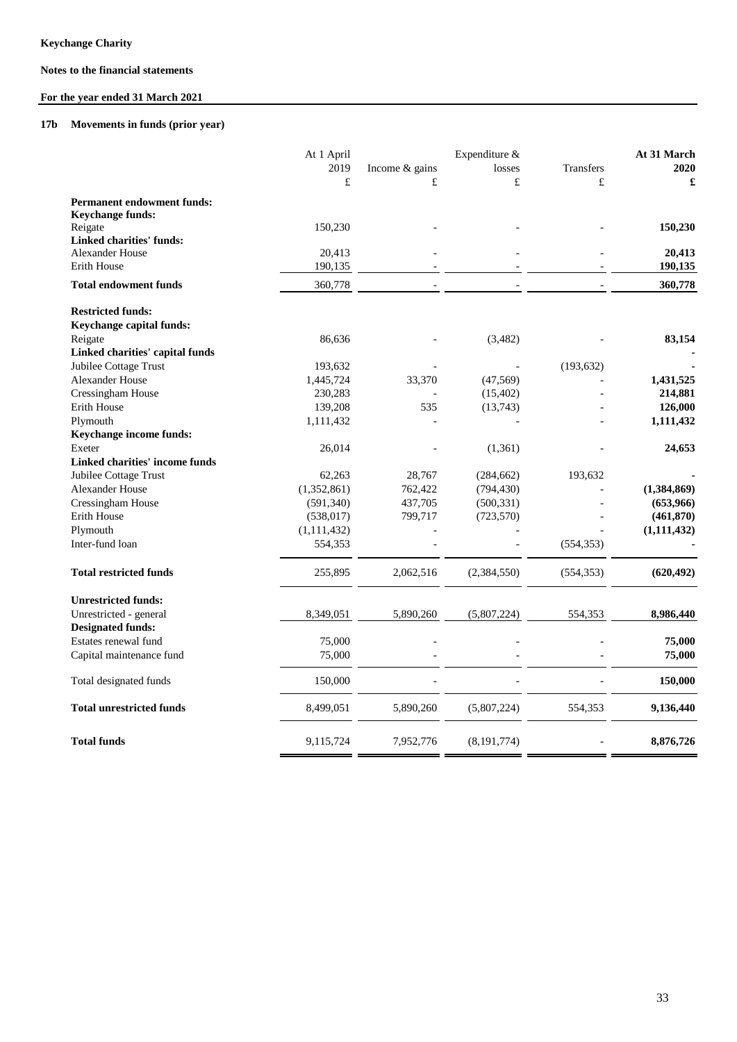## **For the year ended 31 March 2021**

## **17b Movements in funds (prior year)**

|                                   | At 1 April    | Expenditure &  |               |            | At 31 March   |
|-----------------------------------|---------------|----------------|---------------|------------|---------------|
|                                   | 2019          | Income & gains | losses        | Transfers  | 2020          |
|                                   | £             | £              | £             | £          | £             |
| <b>Permanent endowment funds:</b> |               |                |               |            |               |
| Keychange funds:                  |               |                |               |            |               |
| Reigate                           | 150,230       |                |               |            | 150,230       |
| <b>Linked charities' funds:</b>   |               |                |               |            |               |
| Alexander House                   | 20,413        |                |               |            | 20,413        |
| Erith House                       | 190,135       |                |               |            | 190,135       |
| <b>Total endowment funds</b>      | 360,778       |                |               |            | 360,778       |
| <b>Restricted funds:</b>          |               |                |               |            |               |
| Keychange capital funds:          |               |                |               |            |               |
| Reigate                           | 86,636        |                | (3,482)       |            | 83,154        |
| Linked charities' capital funds   |               |                |               |            |               |
| Jubilee Cottage Trust             | 193,632       |                |               | (193, 632) |               |
| Alexander House                   | 1,445,724     | 33,370         | (47, 569)     |            | 1,431,525     |
| Cressingham House                 | 230,283       |                | (15, 402)     |            | 214,881       |
| <b>Erith House</b>                | 139,208       | 535            | (13,743)      |            | 126,000       |
| Plymouth                          | 1,111,432     |                |               |            | 1,111,432     |
| Keychange income funds:           |               |                |               |            |               |
| Exeter                            | 26,014        |                | (1, 361)      |            | 24,653        |
| Linked charities' income funds    |               |                |               |            |               |
| Jubilee Cottage Trust             | 62,263        | 28,767         | (284, 662)    | 193,632    |               |
| Alexander House                   | (1,352,861)   | 762,422        | (794, 430)    |            | (1,384,869)   |
| Cressingham House                 | (591, 340)    | 437,705        | (500, 331)    |            | (653,966)     |
| Erith House                       | (538, 017)    | 799,717        | (723, 570)    |            | (461, 870)    |
| Plymouth                          | (1, 111, 432) |                |               |            | (1, 111, 432) |
| Inter-fund loan                   | 554,353       |                |               | (554, 353) |               |
| <b>Total restricted funds</b>     | 255,895       | 2,062,516      | (2,384,550)   | (554, 353) | (620, 492)    |
| <b>Unrestricted funds:</b>        |               |                |               |            |               |
| Unrestricted - general            | 8,349,051     | 5,890,260      | (5,807,224)   | 554,353    | 8,986,440     |
| <b>Designated funds:</b>          |               |                |               |            |               |
| Estates renewal fund              | 75,000        |                |               |            | 75,000        |
| Capital maintenance fund          | 75,000        |                |               |            | 75,000        |
| Total designated funds            | 150,000       |                |               |            | 150,000       |
| <b>Total unrestricted funds</b>   | 8,499,051     | 5,890,260      | (5,807,224)   | 554,353    | 9,136,440     |
| <b>Total funds</b>                | 9,115,724     | 7,952,776      | (8, 191, 774) |            | 8,876,726     |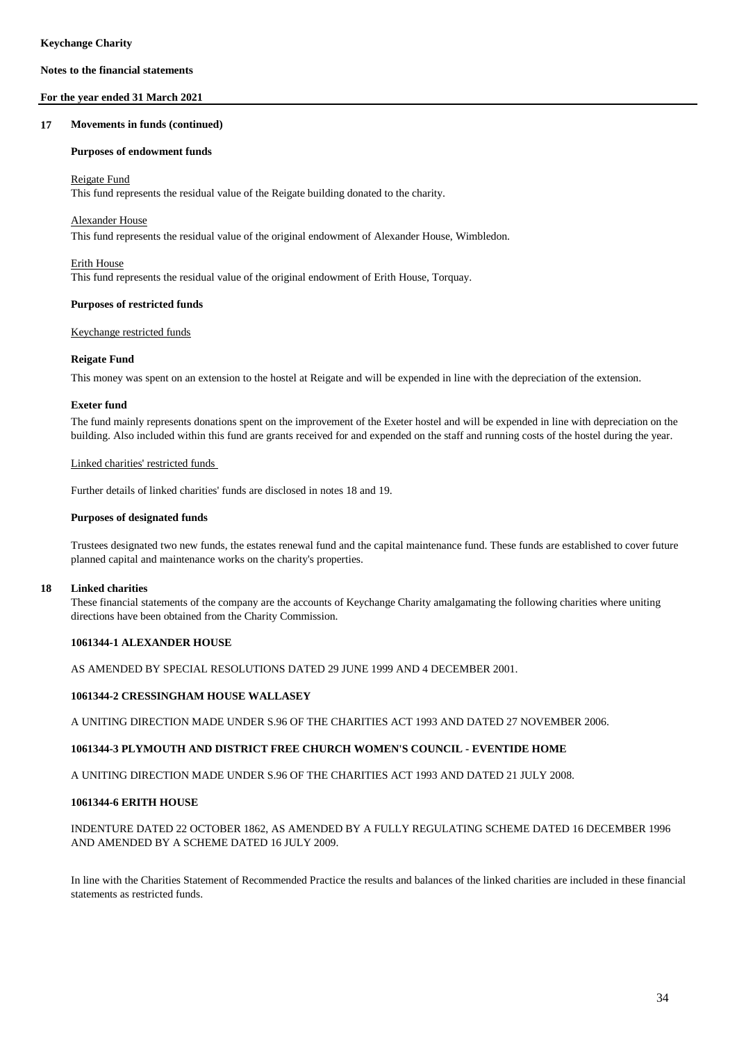### **For the year ended 31 March 2021**

#### **17 Movements in funds (continued)**

#### **Purposes of endowment funds**

#### Reigate Fund

This fund represents the residual value of the Reigate building donated to the charity.

#### Alexander House

This fund represents the residual value of the original endowment of Alexander House, Wimbledon.

## Erith House

This fund represents the residual value of the original endowment of Erith House, Torquay.

#### **Purposes of restricted funds**

#### Keychange restricted funds

#### **Reigate Fund**

This money was spent on an extension to the hostel at Reigate and will be expended in line with the depreciation of the extension.

#### **Exeter fund**

The fund mainly represents donations spent on the improvement of the Exeter hostel and will be expended in line with depreciation on the building. Also included within this fund are grants received for and expended on the staff and running costs of the hostel during the year.

#### Linked charities' restricted funds

Further details of linked charities' funds are disclosed in notes 18 and 19.

#### **Purposes of designated funds**

Trustees designated two new funds, the estates renewal fund and the capital maintenance fund. These funds are established to cover future planned capital and maintenance works on the charity's properties.

#### **18 Linked charities**

These financial statements of the company are the accounts of Keychange Charity amalgamating the following charities where uniting directions have been obtained from the Charity Commission.

## **1061344-1 ALEXANDER HOUSE**

AS AMENDED BY SPECIAL RESOLUTIONS DATED 29 JUNE 1999 AND 4 DECEMBER 2001.

## **1061344-2 CRESSINGHAM HOUSE WALLASEY**

A UNITING DIRECTION MADE UNDER S.96 OF THE CHARITIES ACT 1993 AND DATED 27 NOVEMBER 2006.

### **1061344-3 PLYMOUTH AND DISTRICT FREE CHURCH WOMEN'S COUNCIL - EVENTIDE HOME**

A UNITING DIRECTION MADE UNDER S.96 OF THE CHARITIES ACT 1993 AND DATED 21 JULY 2008.

#### **1061344-6 ERITH HOUSE**

INDENTURE DATED 22 OCTOBER 1862, AS AMENDED BY A FULLY REGULATING SCHEME DATED 16 DECEMBER 1996 AND AMENDED BY A SCHEME DATED 16 JULY 2009.

In line with the Charities Statement of Recommended Practice the results and balances of the linked charities are included in these financial statements as restricted funds.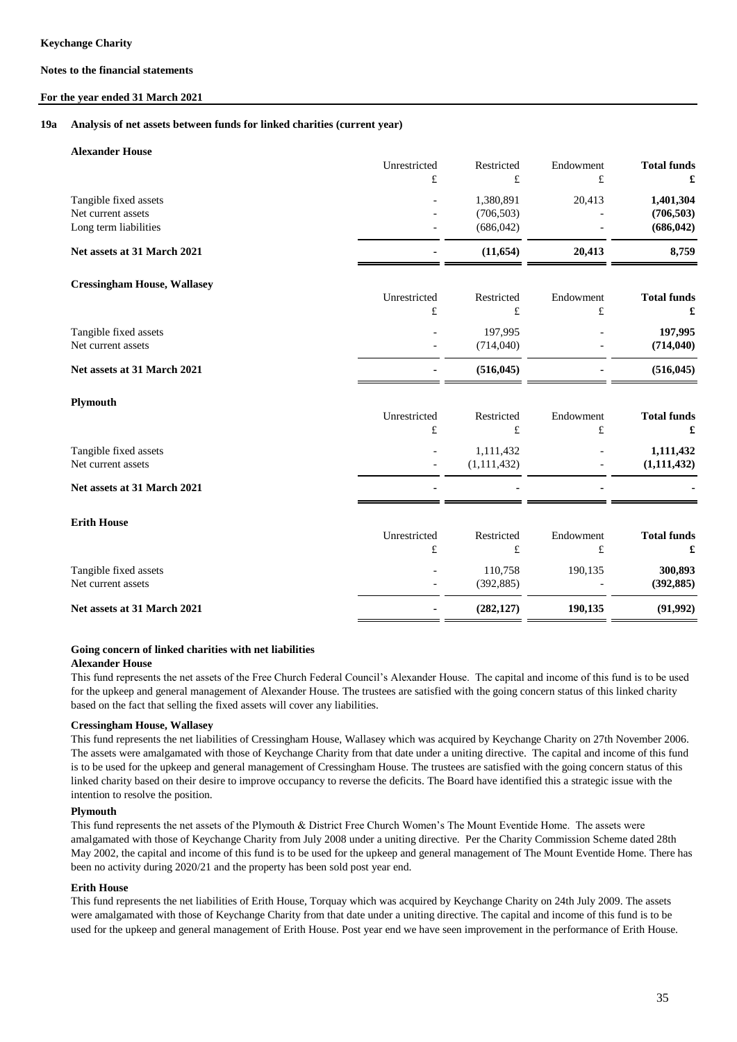#### **For the year ended 31 March 2021**

#### **19a Analysis of net assets between funds for linked charities (current year)**

| Unrestricted<br>£ | Restricted<br>£                       | Endowment<br>£         | <b>Total funds</b><br>£               |
|-------------------|---------------------------------------|------------------------|---------------------------------------|
|                   | 1,380,891<br>(706, 503)<br>(686, 042) | 20,413                 | 1,401,304<br>(706, 503)<br>(686, 042) |
|                   | (11, 654)                             | 20,413                 | 8,759                                 |
| Unrestricted      | Restricted                            | Endowment              | <b>Total funds</b>                    |
| £                 | $\pounds$                             | $\pounds$              | £                                     |
|                   | 197,995<br>(714,040)                  |                        | 197,995<br>(714, 040)                 |
|                   | (516, 045)                            |                        | (516, 045)                            |
|                   |                                       |                        |                                       |
| Unrestricted<br>£ | Restricted<br>£                       | Endowment<br>£         | <b>Total funds</b><br>£               |
|                   | 1,111,432<br>(1, 111, 432)            |                        | 1,111,432<br>(1, 111, 432)            |
|                   |                                       |                        |                                       |
|                   |                                       |                        |                                       |
| Unrestricted<br>£ | Restricted<br>£                       | Endowment<br>$\pounds$ | <b>Total funds</b><br>£               |
|                   | 110,758<br>(392, 885)                 | 190,135                | 300,893<br>(392, 885)                 |
|                   | (282, 127)                            | 190,135                | (91, 992)                             |
|                   |                                       |                        |                                       |

### **Going concern of linked charities with net liabilities**

#### **Alexander House**

This fund represents the net assets of the Free Church Federal Council's Alexander House. The capital and income of this fund is to be used for the upkeep and general management of Alexander House. The trustees are satisfied with the going concern status of this linked charity based on the fact that selling the fixed assets will cover any liabilities.

### **Cressingham House, Wallasey**

This fund represents the net liabilities of Cressingham House, Wallasey which was acquired by Keychange Charity on 27th November 2006. The assets were amalgamated with those of Keychange Charity from that date under a uniting directive. The capital and income of this fund is to be used for the upkeep and general management of Cressingham House. The trustees are satisfied with the going concern status of this linked charity based on their desire to improve occupancy to reverse the deficits. The Board have identified this a strategic issue with the intention to resolve the position.

#### **Plymouth**

This fund represents the net assets of the Plymouth & District Free Church Women's The Mount Eventide Home. The assets were amalgamated with those of Keychange Charity from July 2008 under a uniting directive. Per the Charity Commission Scheme dated 28th May 2002, the capital and income of this fund is to be used for the upkeep and general management of The Mount Eventide Home. There has been no activity during 2020/21 and the property has been sold post year end.

### **Erith House**

This fund represents the net liabilities of Erith House, Torquay which was acquired by Keychange Charity on 24th July 2009. The assets were amalgamated with those of Keychange Charity from that date under a uniting directive. The capital and income of this fund is to be used for the upkeep and general management of Erith House. Post year end we have seen improvement in the performance of Erith House.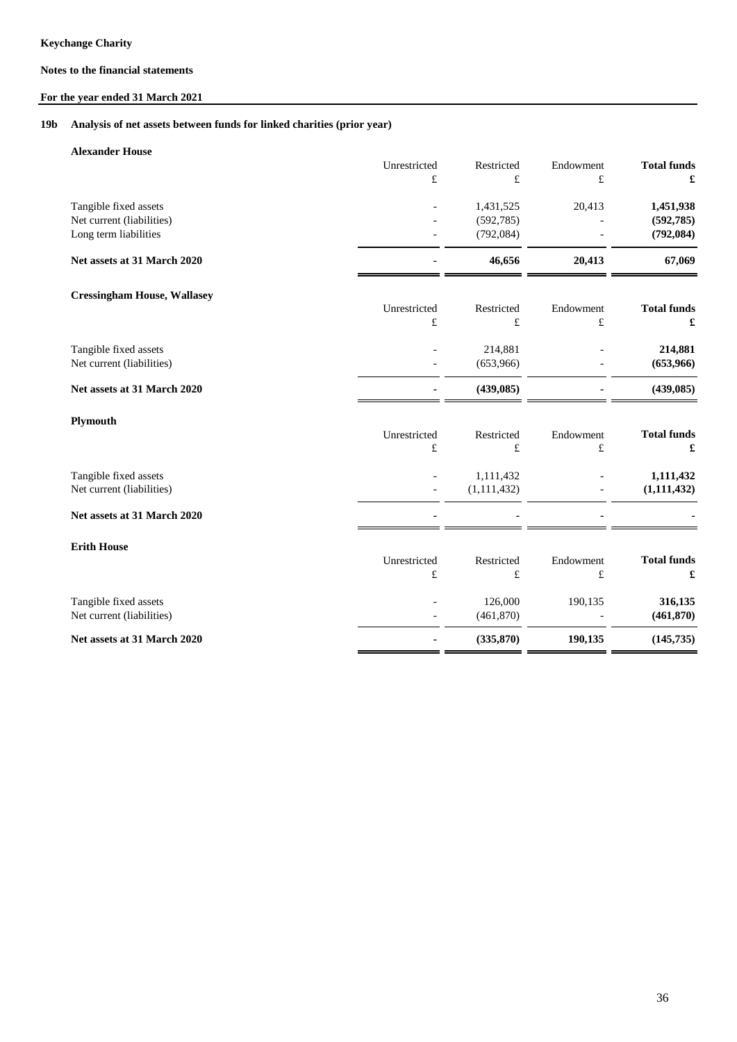## **For the year ended 31 March 2021**

#### **19b Analysis of net assets between funds for linked charities (prior year)**

| <b>Alexander House</b>             | Unrestricted | Restricted    | Endowment | <b>Total funds</b> |
|------------------------------------|--------------|---------------|-----------|--------------------|
|                                    | £            | £             | $\pounds$ | £                  |
| Tangible fixed assets              |              | 1,431,525     | 20,413    | 1,451,938          |
| Net current (liabilities)          |              | (592, 785)    |           | (592, 785)         |
| Long term liabilities              |              | (792, 084)    |           | (792, 084)         |
| Net assets at 31 March 2020        |              | 46,656        | 20,413    | 67,069             |
| <b>Cressingham House, Wallasey</b> |              |               |           |                    |
|                                    | Unrestricted | Restricted    | Endowment | <b>Total funds</b> |
|                                    | $\pounds$    | $\pounds$     | $\pounds$ | £                  |
| Tangible fixed assets              |              | 214,881       |           | 214,881            |
| Net current (liabilities)          |              | (653,966)     |           | (653,966)          |
| Net assets at 31 March 2020        |              | (439, 085)    |           | (439, 085)         |
| Plymouth                           |              |               |           |                    |
|                                    | Unrestricted | Restricted    | Endowment | <b>Total funds</b> |
|                                    | £            | $\pounds$     | $\pounds$ | £                  |
| Tangible fixed assets              |              | 1,111,432     |           | 1,111,432          |
| Net current (liabilities)          |              | (1, 111, 432) |           | (1, 111, 432)      |
| Net assets at 31 March 2020        |              |               |           |                    |
| <b>Erith House</b>                 |              |               |           |                    |
|                                    | Unrestricted | Restricted    | Endowment | <b>Total funds</b> |
|                                    | £            | £             | £         | £                  |
| Tangible fixed assets              |              | 126,000       | 190,135   | 316,135            |
| Net current (liabilities)          |              | (461, 870)    |           | (461, 870)         |
| Net assets at 31 March 2020        |              | (335, 870)    | 190,135   | (145, 735)         |
|                                    |              |               |           |                    |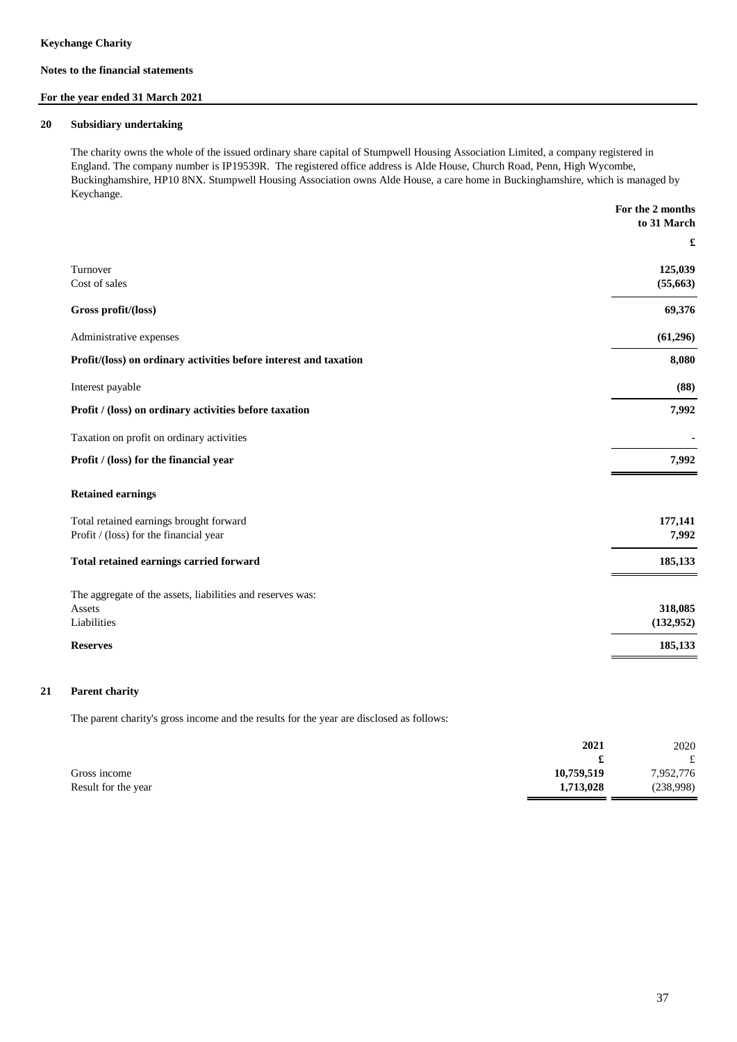### **For the year ended 31 March 2021**

#### **20 Subsidiary undertaking**

The charity owns the whole of the issued ordinary share capital of Stumpwell Housing Association Limited, a company registered in England. The company number is IP19539R. The registered office address is Alde House, Church Road, Penn, High Wycombe, Buckinghamshire, HP10 8NX. Stumpwell Housing Association owns Alde House, a care home in Buckinghamshire, which is managed by Keychange.

|                                                                   | For the 2 months     |
|-------------------------------------------------------------------|----------------------|
|                                                                   | to 31 March          |
|                                                                   | £                    |
| Turnover                                                          | 125,039              |
| Cost of sales                                                     | (55, 663)            |
| Gross profit/(loss)                                               | 69,376               |
| Administrative expenses                                           | (61, 296)            |
| Profit/(loss) on ordinary activities before interest and taxation | 8,080                |
| Interest payable                                                  | (88)                 |
| Profit / (loss) on ordinary activities before taxation            | 7,992                |
| Taxation on profit on ordinary activities                         |                      |
| Profit / (loss) for the financial year                            | 7,992                |
| <b>Retained earnings</b>                                          |                      |
| Total retained earnings brought forward                           | 177,141              |
| Profit / (loss) for the financial year                            | 7,992                |
| Total retained earnings carried forward                           | 185,133              |
| The aggregate of the assets, liabilities and reserves was:        |                      |
| Assets<br>Liabilities                                             | 318,085<br>(132,952) |
| <b>Reserves</b>                                                   | 185,133              |
|                                                                   |                      |

#### **21 Parent charity**

The parent charity's gross income and the results for the year are disclosed as follows:

|                     | 2021       | 2020         |
|---------------------|------------|--------------|
|                     |            | $\mathbf{f}$ |
| Gross income        | 10,759,519 | 7,952,776    |
| Result for the year | 1,713,028  | (238,998)    |